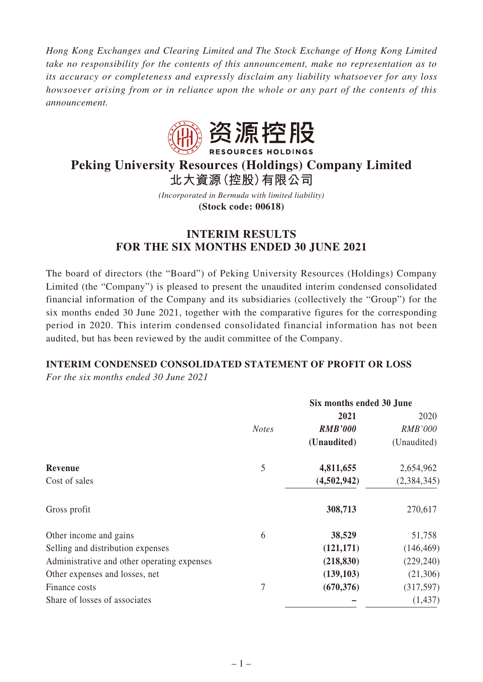*Hong Kong Exchanges and Clearing Limited and The Stock Exchange of Hong Kong Limited take no responsibility for the contents of this announcement, make no representation as to its accuracy or completeness and expressly disclaim any liability whatsoever for any loss howsoever arising from or in reliance upon the whole or any part of the contents of this announcement.*



# **Peking University Resources (Holdings) Company Limited**

**北大資源(控股)有限公司**

*(Incorporated in Bermuda with limited liability)* **(Stock code: 00618)**

# **INTERIM RESULTS FOR THE SIX MONTHS ENDED 30 JUNE 2021**

The board of directors (the "Board") of Peking University Resources (Holdings) Company Limited (the "Company") is pleased to present the unaudited interim condensed consolidated financial information of the Company and its subsidiaries (collectively the "Group") for the six months ended 30 June 2021, together with the comparative figures for the corresponding period in 2020. This interim condensed consolidated financial information has not been audited, but has been reviewed by the audit committee of the Company.

# **INTERIM CONDENSED CONSOLIDATED STATEMENT OF PROFIT OR LOSS**

*For the six months ended 30 June 2021*

|                                             |              | Six months ended 30 June |                |
|---------------------------------------------|--------------|--------------------------|----------------|
|                                             |              | 2021                     | 2020           |
|                                             | <b>Notes</b> | <b>RMB'000</b>           | <b>RMB'000</b> |
|                                             |              | (Unaudited)              | (Unaudited)    |
| Revenue                                     | 5            | 4,811,655                | 2,654,962      |
| Cost of sales                               |              | (4,502,942)              | (2,384,345)    |
| Gross profit                                |              | 308,713                  | 270,617        |
| Other income and gains                      | 6            | 38,529                   | 51,758         |
| Selling and distribution expenses           |              | (121, 171)               | (146, 469)     |
| Administrative and other operating expenses |              | (218, 830)               | (229, 240)     |
| Other expenses and losses, net              |              | (139, 103)               | (21,306)       |
| Finance costs                               | 7            | (670, 376)               | (317, 597)     |
| Share of losses of associates               |              |                          | (1, 437)       |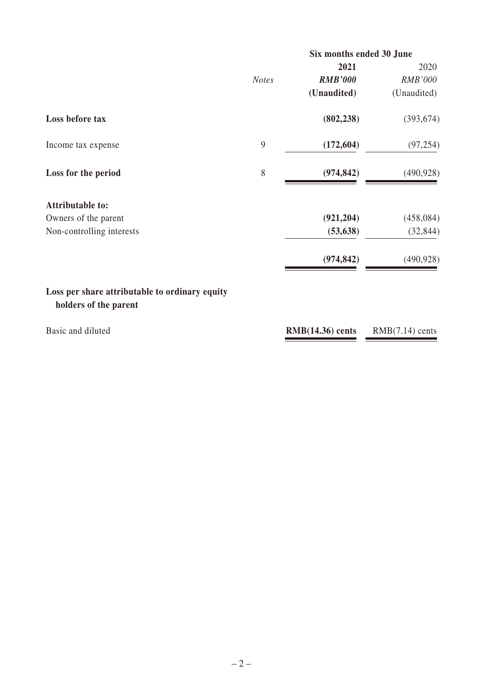|                                                                         |              | Six months ended 30 June |                   |
|-------------------------------------------------------------------------|--------------|--------------------------|-------------------|
|                                                                         |              | 2021                     | 2020              |
|                                                                         | <b>Notes</b> | <b>RMB'000</b>           | <b>RMB'000</b>    |
|                                                                         |              | (Unaudited)              | (Unaudited)       |
| Loss before tax                                                         |              | (802, 238)               | (393, 674)        |
| Income tax expense                                                      | 9            | (172, 604)               | (97, 254)         |
| Loss for the period                                                     | 8            | (974, 842)               | (490, 928)        |
| <b>Attributable to:</b>                                                 |              |                          |                   |
| Owners of the parent                                                    |              | (921, 204)               | (458, 084)        |
| Non-controlling interests                                               |              | (53, 638)                | (32, 844)         |
|                                                                         |              | (974, 842)               | (490, 928)        |
| Loss per share attributable to ordinary equity<br>holders of the parent |              |                          |                   |
| Basic and diluted                                                       |              | $RMB(14.36)$ cents       | $RMB(7.14)$ cents |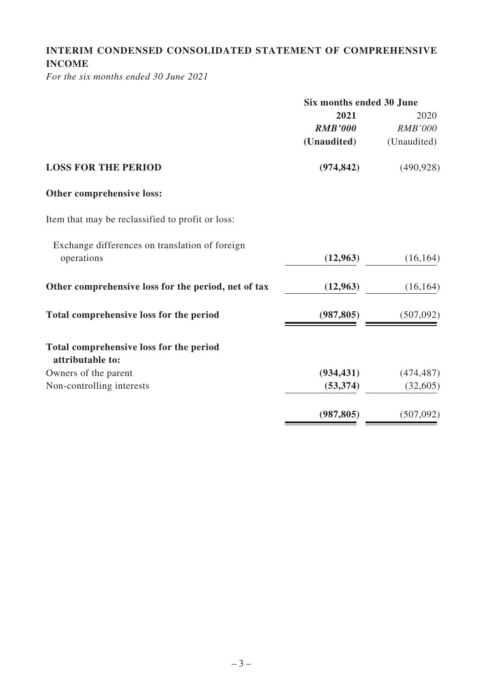# **INTERIM CONDENSED CONSOLIDATED STATEMENT OF COMPREHENSIVE INCOME**

*For the six months ended 30 June 2021*

|                                                     | Six months ended 30 June |                |  |
|-----------------------------------------------------|--------------------------|----------------|--|
|                                                     | 2021                     | 2020           |  |
|                                                     | <b>RMB'000</b>           | <b>RMB'000</b> |  |
|                                                     | (Unaudited)              | (Unaudited)    |  |
| <b>LOSS FOR THE PERIOD</b>                          | (974, 842)               | (490, 928)     |  |
| Other comprehensive loss:                           |                          |                |  |
| Item that may be reclassified to profit or loss:    |                          |                |  |
| Exchange differences on translation of foreign      |                          |                |  |
| operations                                          | (12,963)                 | (16, 164)      |  |
| Other comprehensive loss for the period, net of tax | (12,963)                 | (16, 164)      |  |
| Total comprehensive loss for the period             | (987, 805)               | (507,092)      |  |
| Total comprehensive loss for the period             |                          |                |  |
| attributable to:                                    |                          |                |  |
| Owners of the parent                                | (934, 431)               | (474, 487)     |  |
| Non-controlling interests                           | (53, 374)                | (32,605)       |  |
|                                                     | (987, 805)               | (507,092)      |  |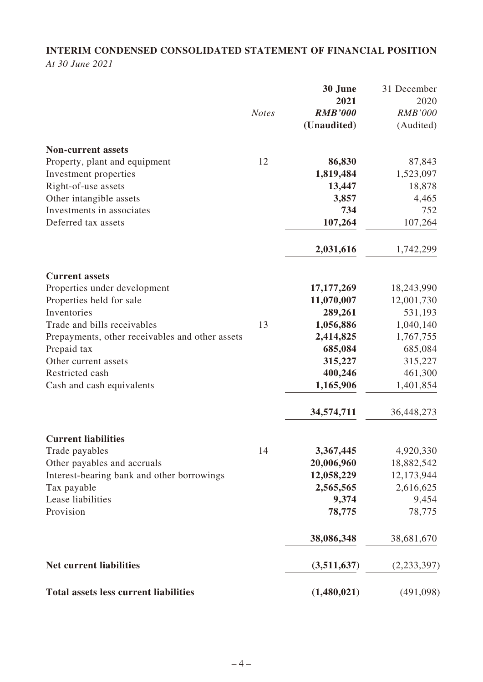# **INTERIM CONDENSED CONSOLIDATED STATEMENT OF FINANCIAL POSITION**

*At 30 June 2021*

|                                                 |              | 30 June        | 31 December    |
|-------------------------------------------------|--------------|----------------|----------------|
|                                                 |              | 2021           | 2020           |
|                                                 | <b>Notes</b> | <b>RMB'000</b> | <b>RMB'000</b> |
|                                                 |              | (Unaudited)    | (Audited)      |
| <b>Non-current assets</b>                       |              |                |                |
| Property, plant and equipment                   | 12           | 86,830         | 87,843         |
| Investment properties                           |              | 1,819,484      | 1,523,097      |
| Right-of-use assets                             |              | 13,447         | 18,878         |
| Other intangible assets                         |              | 3,857          | 4,465          |
| Investments in associates                       |              | 734            | 752            |
| Deferred tax assets                             |              | 107,264        | 107,264        |
|                                                 |              | 2,031,616      | 1,742,299      |
| <b>Current assets</b>                           |              |                |                |
| Properties under development                    |              | 17, 177, 269   | 18,243,990     |
| Properties held for sale                        |              | 11,070,007     | 12,001,730     |
| Inventories                                     |              | 289,261        | 531,193        |
| Trade and bills receivables                     | 13           | 1,056,886      | 1,040,140      |
| Prepayments, other receivables and other assets |              | 2,414,825      | 1,767,755      |
| Prepaid tax                                     |              | 685,084        | 685,084        |
| Other current assets                            |              | 315,227        | 315,227        |
| Restricted cash                                 |              | 400,246        | 461,300        |
| Cash and cash equivalents                       |              | 1,165,906      | 1,401,854      |
|                                                 |              | 34,574,711     | 36,448,273     |
| <b>Current liabilities</b>                      |              |                |                |
| Trade payables                                  | 14           | 3,367,445      | 4,920,330      |
| Other payables and accruals                     |              | 20,006,960     | 18,882,542     |
| Interest-bearing bank and other borrowings      |              | 12,058,229     | 12,173,944     |
| Tax payable                                     |              | 2,565,565      | 2,616,625      |
| Lease liabilities                               |              | 9,374          | 9,454          |
| Provision                                       |              | 78,775         | 78,775         |
|                                                 |              | 38,086,348     | 38,681,670     |
| <b>Net current liabilities</b>                  |              | (3,511,637)    | (2,233,397)    |
| <b>Total assets less current liabilities</b>    |              | (1,480,021)    | (491,098)      |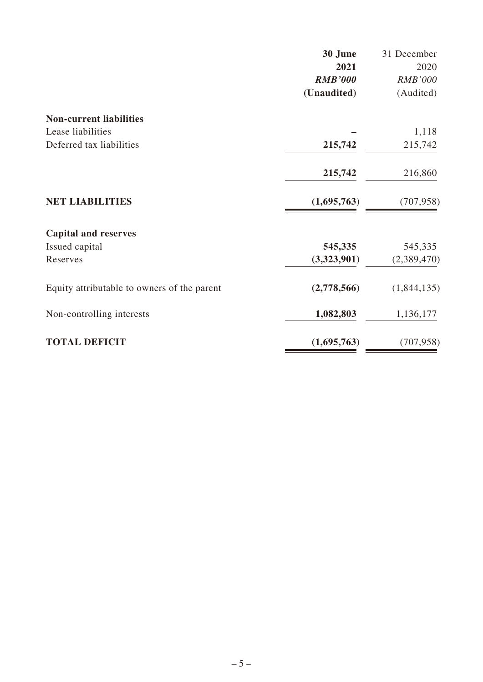|                                             | 30 June        | 31 December    |
|---------------------------------------------|----------------|----------------|
|                                             | 2021           | 2020           |
|                                             | <b>RMB'000</b> | <b>RMB'000</b> |
|                                             | (Unaudited)    | (Audited)      |
| <b>Non-current liabilities</b>              |                |                |
| Lease liabilities                           |                | 1,118          |
| Deferred tax liabilities                    | 215,742        | 215,742        |
|                                             | 215,742        | 216,860        |
| <b>NET LIABILITIES</b>                      | (1,695,763)    | (707, 958)     |
| <b>Capital and reserves</b>                 |                |                |
| Issued capital                              | 545,335        | 545,335        |
| Reserves                                    | (3,323,901)    | (2,389,470)    |
| Equity attributable to owners of the parent | (2,778,566)    | (1,844,135)    |
| Non-controlling interests                   | 1,082,803      | 1,136,177      |
| <b>TOTAL DEFICIT</b>                        | (1,695,763)    | (707, 958)     |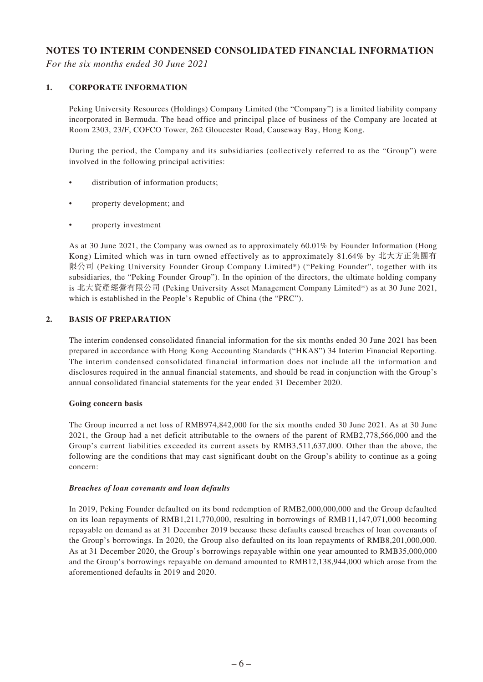#### **NOTES TO INTERIM CONDENSED CONSOLIDATED FINANCIAL INFORMATION**

*For the six months ended 30 June 2021*

#### **1. CORPORATE INFORMATION**

Peking University Resources (Holdings) Company Limited (the "Company") is a limited liability company incorporated in Bermuda. The head office and principal place of business of the Company are located at Room 2303, 23/F, COFCO Tower, 262 Gloucester Road, Causeway Bay, Hong Kong.

During the period, the Company and its subsidiaries (collectively referred to as the "Group") were involved in the following principal activities:

- distribution of information products;
- property development; and
- property investment

As at 30 June 2021, the Company was owned as to approximately 60.01% by Founder Information (Hong Kong) Limited which was in turn owned effectively as to approximately 81.64% by 北大方正集團有 限公司 (Peking University Founder Group Company Limited\*) ("Peking Founder", together with its subsidiaries, the "Peking Founder Group"). In the opinion of the directors, the ultimate holding company is 北大資產經營有限公司 (Peking University Asset Management Company Limited\*) as at 30 June 2021, which is established in the People's Republic of China (the "PRC").

#### **2. BASIS OF PREPARATION**

The interim condensed consolidated financial information for the six months ended 30 June 2021 has been prepared in accordance with Hong Kong Accounting Standards ("HKAS") 34 Interim Financial Reporting. The interim condensed consolidated financial information does not include all the information and disclosures required in the annual financial statements, and should be read in conjunction with the Group's annual consolidated financial statements for the year ended 31 December 2020.

#### **Going concern basis**

The Group incurred a net loss of RMB974,842,000 for the six months ended 30 June 2021. As at 30 June 2021, the Group had a net deficit attributable to the owners of the parent of RMB2,778,566,000 and the Group's current liabilities exceeded its current assets by RMB3,511,637,000. Other than the above, the following are the conditions that may cast significant doubt on the Group's ability to continue as a going concern:

#### *Breaches of loan covenants and loan defaults*

In 2019, Peking Founder defaulted on its bond redemption of RMB2,000,000,000 and the Group defaulted on its loan repayments of RMB1,211,770,000, resulting in borrowings of RMB11,147,071,000 becoming repayable on demand as at 31 December 2019 because these defaults caused breaches of loan covenants of the Group's borrowings. In 2020, the Group also defaulted on its loan repayments of RMB8,201,000,000. As at 31 December 2020, the Group's borrowings repayable within one year amounted to RMB35,000,000 and the Group's borrowings repayable on demand amounted to RMB12,138,944,000 which arose from the aforementioned defaults in 2019 and 2020.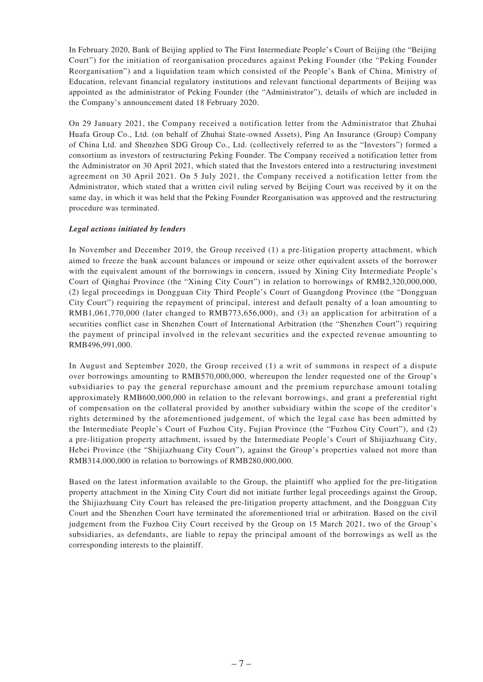In February 2020, Bank of Beijing applied to The First Intermediate People's Court of Beijing (the "Beijing Court") for the initiation of reorganisation procedures against Peking Founder (the "Peking Founder Reorganisation") and a liquidation team which consisted of the People's Bank of China, Ministry of Education, relevant financial regulatory institutions and relevant functional departments of Beijing was appointed as the administrator of Peking Founder (the "Administrator"), details of which are included in the Company's announcement dated 18 February 2020.

On 29 January 2021, the Company received a notification letter from the Administrator that Zhuhai Huafa Group Co., Ltd. (on behalf of Zhuhai State-owned Assets), Ping An Insurance (Group) Company of China Ltd. and Shenzhen SDG Group Co., Ltd. (collectively referred to as the "Investors") formed a consortium as investors of restructuring Peking Founder. The Company received a notification letter from the Administrator on 30 April 2021, which stated that the Investors entered into a restructuring investment agreement on 30 April 2021. On 5 July 2021, the Company received a notification letter from the Administrator, which stated that a written civil ruling served by Beijing Court was received by it on the same day, in which it was held that the Peking Founder Reorganisation was approved and the restructuring procedure was terminated.

#### *Legal actions initiated by lenders*

In November and December 2019, the Group received (1) a pre-litigation property attachment, which aimed to freeze the bank account balances or impound or seize other equivalent assets of the borrower with the equivalent amount of the borrowings in concern, issued by Xining City Intermediate People's Court of Qinghai Province (the "Xining City Court") in relation to borrowings of RMB2,320,000,000, (2) legal proceedings in Dongguan City Third People's Court of Guangdong Province (the "Dongguan City Court") requiring the repayment of principal, interest and default penalty of a loan amounting to RMB1,061,770,000 (later changed to RMB773,656,000), and (3) an application for arbitration of a securities conflict case in Shenzhen Court of International Arbitration (the "Shenzhen Court") requiring the payment of principal involved in the relevant securities and the expected revenue amounting to RMB496,991,000.

In August and September 2020, the Group received (1) a writ of summons in respect of a dispute over borrowings amounting to RMB570,000,000, whereupon the lender requested one of the Group's subsidiaries to pay the general repurchase amount and the premium repurchase amount totaling approximately RMB600,000,000 in relation to the relevant borrowings, and grant a preferential right of compensation on the collateral provided by another subsidiary within the scope of the creditor's rights determined by the aforementioned judgement, of which the legal case has been admitted by the Intermediate People's Court of Fuzhou City, Fujian Province (the "Fuzhou City Court"), and (2) a pre-litigation property attachment, issued by the Intermediate People's Court of Shijiazhuang City, Hebei Province (the "Shijiazhuang City Court"), against the Group's properties valued not more than RMB314,000,000 in relation to borrowings of RMB280,000,000.

Based on the latest information available to the Group, the plaintiff who applied for the pre-litigation property attachment in the Xining City Court did not initiate further legal proceedings against the Group, the Shijiazhuang City Court has released the pre-litigation property attachment, and the Dongguan City Court and the Shenzhen Court have terminated the aforementioned trial or arbitration. Based on the civil judgement from the Fuzhou City Court received by the Group on 15 March 2021, two of the Group's subsidiaries, as defendants, are liable to repay the principal amount of the borrowings as well as the corresponding interests to the plaintiff.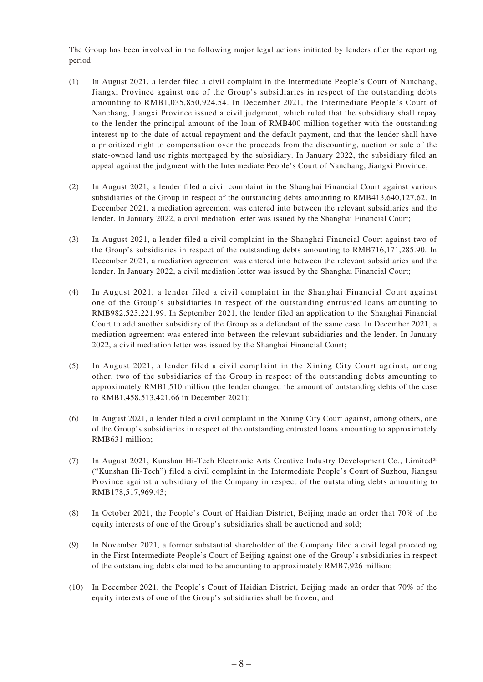The Group has been involved in the following major legal actions initiated by lenders after the reporting period:

- (1) In August 2021, a lender filed a civil complaint in the Intermediate People's Court of Nanchang, Jiangxi Province against one of the Group's subsidiaries in respect of the outstanding debts amounting to RMB1,035,850,924.54. In December 2021, the Intermediate People's Court of Nanchang, Jiangxi Province issued a civil judgment, which ruled that the subsidiary shall repay to the lender the principal amount of the loan of RMB400 million together with the outstanding interest up to the date of actual repayment and the default payment, and that the lender shall have a prioritized right to compensation over the proceeds from the discounting, auction or sale of the state-owned land use rights mortgaged by the subsidiary. In January 2022, the subsidiary filed an appeal against the judgment with the Intermediate People's Court of Nanchang, Jiangxi Province;
- (2) In August 2021, a lender filed a civil complaint in the Shanghai Financial Court against various subsidiaries of the Group in respect of the outstanding debts amounting to RMB413,640,127.62. In December 2021, a mediation agreement was entered into between the relevant subsidiaries and the lender. In January 2022, a civil mediation letter was issued by the Shanghai Financial Court;
- (3) In August 2021, a lender filed a civil complaint in the Shanghai Financial Court against two of the Group's subsidiaries in respect of the outstanding debts amounting to RMB716,171,285.90. In December 2021, a mediation agreement was entered into between the relevant subsidiaries and the lender. In January 2022, a civil mediation letter was issued by the Shanghai Financial Court;
- (4) In August 2021, a lender filed a civil complaint in the Shanghai Financial Court against one of the Group's subsidiaries in respect of the outstanding entrusted loans amounting to RMB982,523,221.99. In September 2021, the lender filed an application to the Shanghai Financial Court to add another subsidiary of the Group as a defendant of the same case. In December 2021, a mediation agreement was entered into between the relevant subsidiaries and the lender. In January 2022, a civil mediation letter was issued by the Shanghai Financial Court;
- (5) In August 2021, a lender filed a civil complaint in the Xining City Court against, among other, two of the subsidiaries of the Group in respect of the outstanding debts amounting to approximately RMB1,510 million (the lender changed the amount of outstanding debts of the case to RMB1,458,513,421.66 in December 2021);
- (6) In August 2021, a lender filed a civil complaint in the Xining City Court against, among others, one of the Group's subsidiaries in respect of the outstanding entrusted loans amounting to approximately RMB631 million;
- (7) In August 2021, Kunshan Hi-Tech Electronic Arts Creative Industry Development Co., Limited\* ("Kunshan Hi-Tech") filed a civil complaint in the Intermediate People's Court of Suzhou, Jiangsu Province against a subsidiary of the Company in respect of the outstanding debts amounting to RMB178,517,969.43;
- (8) In October 2021, the People's Court of Haidian District, Beijing made an order that 70% of the equity interests of one of the Group's subsidiaries shall be auctioned and sold;
- (9) In November 2021, a former substantial shareholder of the Company filed a civil legal proceeding in the First Intermediate People's Court of Beijing against one of the Group's subsidiaries in respect of the outstanding debts claimed to be amounting to approximately RMB7,926 million;
- (10) In December 2021, the People's Court of Haidian District, Beijing made an order that 70% of the equity interests of one of the Group's subsidiaries shall be frozen; and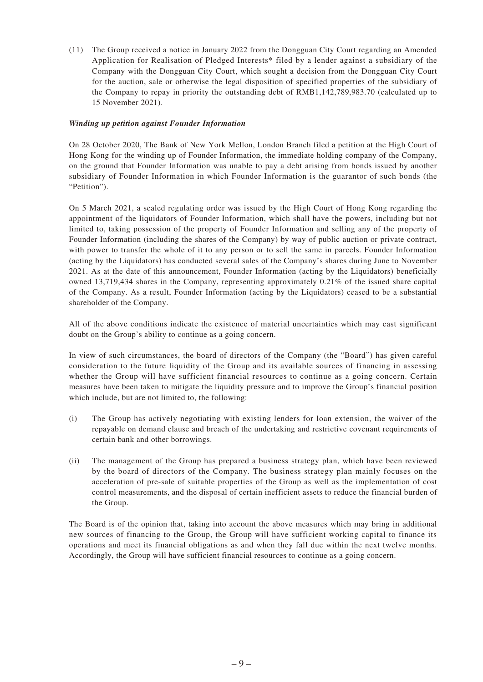(11) The Group received a notice in January 2022 from the Dongguan City Court regarding an Amended Application for Realisation of Pledged Interests\* filed by a lender against a subsidiary of the Company with the Dongguan City Court, which sought a decision from the Dongguan City Court for the auction, sale or otherwise the legal disposition of specified properties of the subsidiary of the Company to repay in priority the outstanding debt of RMB1,142,789,983.70 (calculated up to 15 November 2021).

#### *Winding up petition against Founder Information*

On 28 October 2020, The Bank of New York Mellon, London Branch filed a petition at the High Court of Hong Kong for the winding up of Founder Information, the immediate holding company of the Company, on the ground that Founder Information was unable to pay a debt arising from bonds issued by another subsidiary of Founder Information in which Founder Information is the guarantor of such bonds (the "Petition").

On 5 March 2021, a sealed regulating order was issued by the High Court of Hong Kong regarding the appointment of the liquidators of Founder Information, which shall have the powers, including but not limited to, taking possession of the property of Founder Information and selling any of the property of Founder Information (including the shares of the Company) by way of public auction or private contract, with power to transfer the whole of it to any person or to sell the same in parcels. Founder Information (acting by the Liquidators) has conducted several sales of the Company's shares during June to November 2021. As at the date of this announcement, Founder Information (acting by the Liquidators) beneficially owned 13,719,434 shares in the Company, representing approximately 0.21% of the issued share capital of the Company. As a result, Founder Information (acting by the Liquidators) ceased to be a substantial shareholder of the Company.

All of the above conditions indicate the existence of material uncertainties which may cast significant doubt on the Group's ability to continue as a going concern.

In view of such circumstances, the board of directors of the Company (the "Board") has given careful consideration to the future liquidity of the Group and its available sources of financing in assessing whether the Group will have sufficient financial resources to continue as a going concern. Certain measures have been taken to mitigate the liquidity pressure and to improve the Group's financial position which include, but are not limited to, the following:

- (i) The Group has actively negotiating with existing lenders for loan extension, the waiver of the repayable on demand clause and breach of the undertaking and restrictive covenant requirements of certain bank and other borrowings.
- (ii) The management of the Group has prepared a business strategy plan, which have been reviewed by the board of directors of the Company. The business strategy plan mainly focuses on the acceleration of pre-sale of suitable properties of the Group as well as the implementation of cost control measurements, and the disposal of certain inefficient assets to reduce the financial burden of the Group.

The Board is of the opinion that, taking into account the above measures which may bring in additional new sources of financing to the Group, the Group will have sufficient working capital to finance its operations and meet its financial obligations as and when they fall due within the next twelve months. Accordingly, the Group will have sufficient financial resources to continue as a going concern.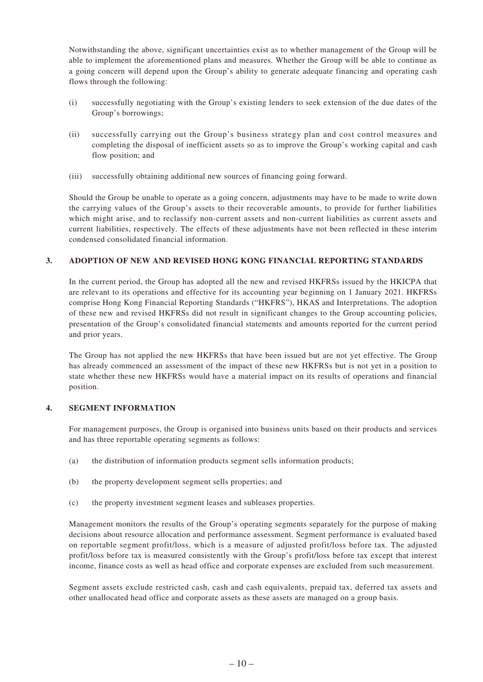Notwithstanding the above, significant uncertainties exist as to whether management of the Group will be able to implement the aforementioned plans and measures. Whether the Group will be able to continue as a going concern will depend upon the Group's ability to generate adequate financing and operating cash flows through the following:

- (i) successfully negotiating with the Group's existing lenders to seek extension of the due dates of the Group's borrowings;
- (ii) successfully carrying out the Group's business strategy plan and cost control measures and completing the disposal of inefficient assets so as to improve the Group's working capital and cash flow position; and
- (iii) successfully obtaining additional new sources of financing going forward.

Should the Group be unable to operate as a going concern, adjustments may have to be made to write down the carrying values of the Group's assets to their recoverable amounts, to provide for further liabilities which might arise, and to reclassify non-current assets and non-current liabilities as current assets and current liabilities, respectively. The effects of these adjustments have not been reflected in these interim condensed consolidated financial information.

#### **3. ADOPTION OF NEW AND REVISED HONG KONG FINANCIAL REPORTING STANDARDS**

In the current period, the Group has adopted all the new and revised HKFRSs issued by the HKICPA that are relevant to its operations and effective for its accounting year beginning on 1 January 2021. HKFRSs comprise Hong Kong Financial Reporting Standards ("HKFRS"), HKAS and Interpretations. The adoption of these new and revised HKFRSs did not result in significant changes to the Group accounting policies, presentation of the Group's consolidated financial statements and amounts reported for the current period and prior years.

The Group has not applied the new HKFRSs that have been issued but are not yet effective. The Group has already commenced an assessment of the impact of these new HKFRSs but is not yet in a position to state whether these new HKFRSs would have a material impact on its results of operations and financial position.

#### **4. SEGMENT INFORMATION**

For management purposes, the Group is organised into business units based on their products and services and has three reportable operating segments as follows:

- (a) the distribution of information products segment sells information products;
- (b) the property development segment sells properties; and
- (c) the property investment segment leases and subleases properties.

Management monitors the results of the Group's operating segments separately for the purpose of making decisions about resource allocation and performance assessment. Segment performance is evaluated based on reportable segment profit/loss, which is a measure of adjusted profit/loss before tax. The adjusted profit/loss before tax is measured consistently with the Group's profit/loss before tax except that interest income, finance costs as well as head office and corporate expenses are excluded from such measurement.

Segment assets exclude restricted cash, cash and cash equivalents, prepaid tax, deferred tax assets and other unallocated head office and corporate assets as these assets are managed on a group basis.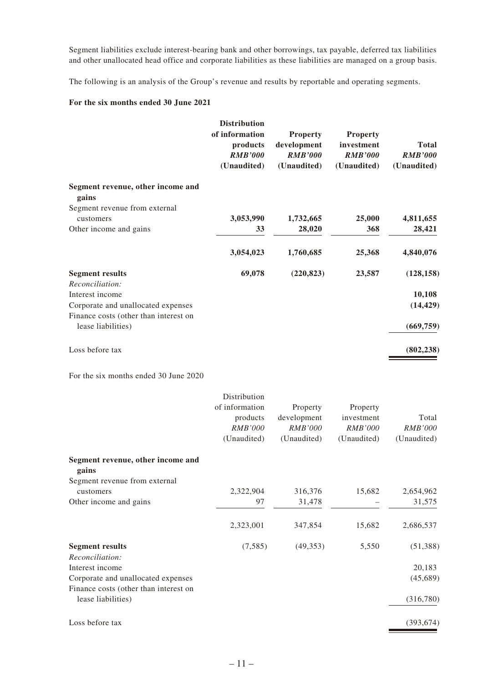Segment liabilities exclude interest-bearing bank and other borrowings, tax payable, deferred tax liabilities and other unallocated head office and corporate liabilities as these liabilities are managed on a group basis.

The following is an analysis of the Group's revenue and results by reportable and operating segments.

#### **For the six months ended 30 June 2021**

|                                                                                           | <b>Distribution</b><br>of information<br>products<br><b>RMB'000</b><br>(Unaudited) | <b>Property</b><br>development<br><b>RMB'000</b><br>(Unaudited) | <b>Property</b><br>investment<br><b>RMB'000</b><br>(Unaudited) | <b>Total</b><br><b>RMB'000</b><br>(Unaudited) |
|-------------------------------------------------------------------------------------------|------------------------------------------------------------------------------------|-----------------------------------------------------------------|----------------------------------------------------------------|-----------------------------------------------|
| Segment revenue, other income and<br>gains                                                |                                                                                    |                                                                 |                                                                |                                               |
| Segment revenue from external                                                             |                                                                                    |                                                                 |                                                                |                                               |
| customers                                                                                 | 3,053,990                                                                          | 1,732,665                                                       | 25,000                                                         | 4,811,655                                     |
| Other income and gains                                                                    | 33                                                                                 | 28,020                                                          | 368                                                            | 28,421                                        |
|                                                                                           | 3,054,023                                                                          | 1,760,685                                                       | 25,368                                                         | 4,840,076                                     |
| <b>Segment results</b>                                                                    | 69,078                                                                             | (220, 823)                                                      | 23,587                                                         | (128, 158)                                    |
| Reconciliation:                                                                           |                                                                                    |                                                                 |                                                                |                                               |
| Interest income                                                                           |                                                                                    |                                                                 |                                                                | 10,108                                        |
| Corporate and unallocated expenses                                                        |                                                                                    |                                                                 |                                                                | (14, 429)                                     |
| Finance costs (other than interest on<br>lease liabilities)                               |                                                                                    |                                                                 |                                                                | (669, 759)                                    |
| Loss before tax                                                                           |                                                                                    |                                                                 |                                                                | (802, 238)                                    |
| the contract of the contract of the contract of the contract of the contract of<br>1.100T |                                                                                    |                                                                 |                                                                |                                               |

For the six months ended 30 June 2020

|                                           | Distribution   |                |                |                |
|-------------------------------------------|----------------|----------------|----------------|----------------|
|                                           | of information | Property       | Property       |                |
|                                           | products       | development    | investment     | Total          |
|                                           | <b>RMB'000</b> | <b>RMB'000</b> | <b>RMB'000</b> | <b>RMB'000</b> |
|                                           | (Unaudited)    | (Unaudited)    | (Unaudited)    | (Unaudited)    |
| Segment revenue, other income and         |                |                |                |                |
| gains<br>Segment revenue from external    |                |                |                |                |
| customers                                 | 2,322,904      | 316,376        | 15,682         | 2,654,962      |
| Other income and gains                    | 97             | 31,478         |                | 31,575         |
|                                           | 2,323,001      | 347,854        | 15,682         | 2,686,537      |
| <b>Segment results</b><br>Reconciliation: | (7,585)        | (49, 353)      | 5,550          | (51, 388)      |
| Interest income                           |                |                |                | 20,183         |
| Corporate and unallocated expenses        |                |                |                | (45,689)       |
| Finance costs (other than interest on     |                |                |                |                |
| lease liabilities)                        |                |                |                | (316,780)      |
| Loss before tax                           |                |                |                | (393, 674)     |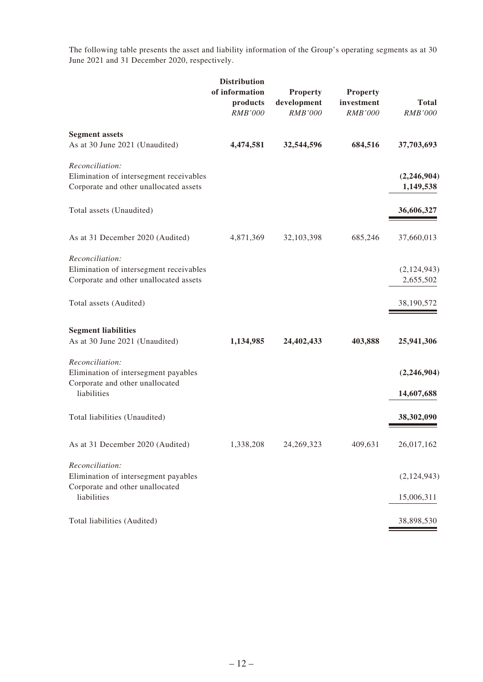The following table presents the asset and liability information of the Group's operating segments as at 30 June 2021 and 31 December 2020, respectively.

|                                                                                                           | <b>Distribution</b><br>of information<br>products<br><b>RMB'000</b> | <b>Property</b><br>development<br><b>RMB'000</b> | <b>Property</b><br>investment<br><b>RMB'000</b> | <b>Total</b><br><b>RMB'000</b> |
|-----------------------------------------------------------------------------------------------------------|---------------------------------------------------------------------|--------------------------------------------------|-------------------------------------------------|--------------------------------|
| <b>Segment assets</b><br>As at 30 June 2021 (Unaudited)                                                   | 4,474,581                                                           | 32,544,596                                       | 684,516                                         | 37,703,693                     |
| Reconciliation:<br>Elimination of intersegment receivables<br>Corporate and other unallocated assets      |                                                                     |                                                  |                                                 | (2,246,904)<br>1,149,538       |
| Total assets (Unaudited)                                                                                  |                                                                     |                                                  |                                                 | 36,606,327                     |
| As at 31 December 2020 (Audited)                                                                          | 4,871,369                                                           | 32,103,398                                       | 685,246                                         | 37,660,013                     |
| Reconciliation:<br>Elimination of intersegment receivables<br>Corporate and other unallocated assets      |                                                                     |                                                  |                                                 | (2,124,943)<br>2,655,502       |
| Total assets (Audited)                                                                                    |                                                                     |                                                  |                                                 | 38,190,572                     |
| <b>Segment liabilities</b><br>As at 30 June 2021 (Unaudited)                                              | 1,134,985                                                           | 24,402,433                                       | 403,888                                         | 25,941,306                     |
| Reconciliation:<br>Elimination of intersegment payables<br>Corporate and other unallocated<br>liabilities |                                                                     |                                                  |                                                 | (2,246,904)<br>14,607,688      |
| Total liabilities (Unaudited)                                                                             |                                                                     |                                                  |                                                 | 38,302,090                     |
| As at 31 December 2020 (Audited)                                                                          | 1,338,208                                                           | 24,269,323                                       | 409,631                                         | 26,017,162                     |
| Reconciliation:<br>Elimination of intersegment payables<br>Corporate and other unallocated<br>liabilities |                                                                     |                                                  |                                                 | (2,124,943)<br>15,006,311      |
| Total liabilities (Audited)                                                                               |                                                                     |                                                  |                                                 | 38,898,530                     |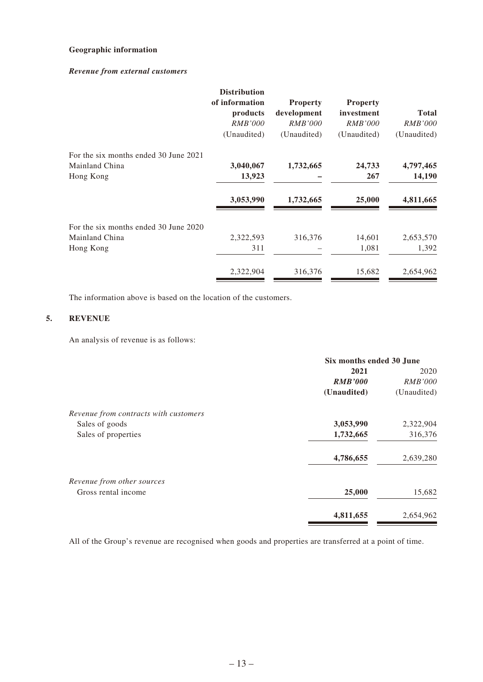#### **Geographic information**

#### *Revenue from external customers*

|                                                         | <b>Distribution</b><br>of information<br>products<br><i>RMB'000</i><br>(Unaudited) | <b>Property</b><br>development<br><i>RMB'000</i><br>(Unaudited) | <b>Property</b><br>investment<br><i>RMB'000</i><br>(Unaudited) | <b>Total</b><br><i>RMB'000</i><br>(Unaudited) |
|---------------------------------------------------------|------------------------------------------------------------------------------------|-----------------------------------------------------------------|----------------------------------------------------------------|-----------------------------------------------|
| For the six months ended 30 June 2021<br>Mainland China | 3,040,067                                                                          | 1,732,665                                                       | 24,733                                                         | 4,797,465                                     |
| Hong Kong                                               | 13,923                                                                             |                                                                 | 267                                                            | 14,190                                        |
|                                                         | 3,053,990                                                                          | 1,732,665                                                       | 25,000                                                         | 4,811,665                                     |
| For the six months ended 30 June 2020                   |                                                                                    |                                                                 |                                                                |                                               |
| Mainland China                                          | 2,322,593                                                                          | 316,376                                                         | 14,601                                                         | 2,653,570                                     |
| Hong Kong                                               | 311                                                                                |                                                                 | 1,081                                                          | 1,392                                         |
|                                                         | 2,322,904                                                                          | 316,376                                                         | 15,682                                                         | 2,654,962                                     |

The information above is based on the location of the customers.

#### **5. REVENUE**

An analysis of revenue is as follows:

|                                       | Six months ended 30 June |                |  |
|---------------------------------------|--------------------------|----------------|--|
|                                       | 2021                     | 2020           |  |
|                                       | <b>RMB'000</b>           | <i>RMB'000</i> |  |
|                                       | (Unaudited)              | (Unaudited)    |  |
| Revenue from contracts with customers |                          |                |  |
| Sales of goods                        | 3,053,990                | 2,322,904      |  |
| Sales of properties                   | 1,732,665                | 316,376        |  |
|                                       | 4,786,655                | 2,639,280      |  |
| Revenue from other sources            |                          |                |  |
| Gross rental income                   | 25,000                   | 15,682         |  |
|                                       | 4,811,655                | 2,654,962      |  |

All of the Group's revenue are recognised when goods and properties are transferred at a point of time.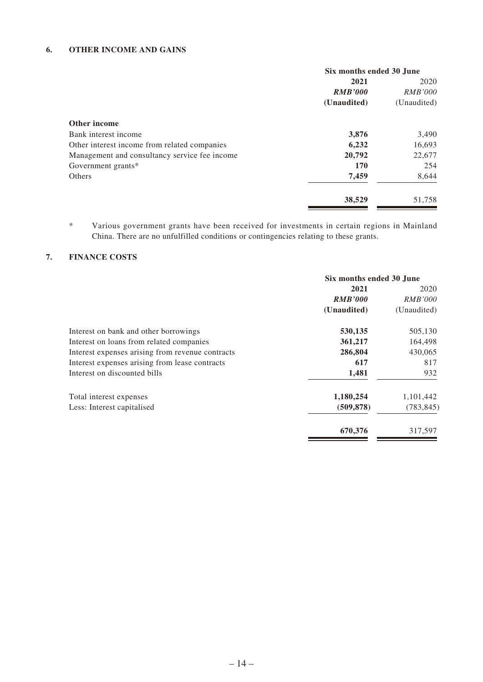#### **6. OTHER INCOME AND GAINS**

|                                               | Six months ended 30 June |                |  |
|-----------------------------------------------|--------------------------|----------------|--|
|                                               | 2021                     |                |  |
|                                               | <b>RMB'000</b>           | <i>RMB'000</i> |  |
|                                               | (Unaudited)              | (Unaudited)    |  |
| Other income                                  |                          |                |  |
| Bank interest income                          | 3,876                    | 3,490          |  |
| Other interest income from related companies  | 6,232                    | 16,693         |  |
| Management and consultancy service fee income | 20,792                   | 22,677         |  |
| Government grants*                            | 170                      | 254            |  |
| Others                                        | 7,459                    | 8,644          |  |
|                                               | 38,529                   | 51,758         |  |

\* Various government grants have been received for investments in certain regions in Mainland China. There are no unfulfilled conditions or contingencies relating to these grants.

#### **7. FINANCE COSTS**

|                                                  | Six months ended 30 June |                |  |
|--------------------------------------------------|--------------------------|----------------|--|
|                                                  | 2021                     |                |  |
|                                                  | <b>RMB'000</b>           | <i>RMB'000</i> |  |
|                                                  | (Unaudited)              | (Unaudited)    |  |
| Interest on bank and other borrowings            | 530,135                  | 505,130        |  |
| Interest on loans from related companies         | 361,217                  | 164,498        |  |
| Interest expenses arising from revenue contracts | 286,804                  | 430,065        |  |
| Interest expenses arising from lease contracts   | 617                      | 817            |  |
| Interest on discounted bills                     | 1,481                    | 932            |  |
| Total interest expenses                          | 1,180,254                | 1,101,442      |  |
| Less: Interest capitalised                       | (509, 878)               | (783, 845)     |  |
|                                                  | 670,376                  | 317.597        |  |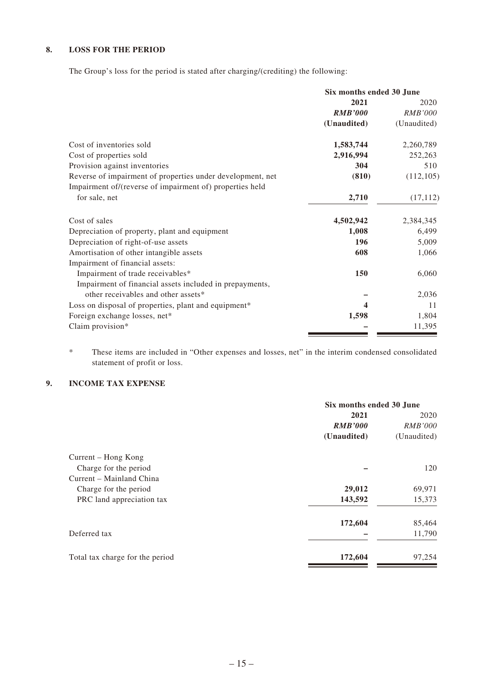#### **8. LOSS FOR THE PERIOD**

The Group's loss for the period is stated after charging/(crediting) the following:

|                                                            | Six months ended 30 June |                |
|------------------------------------------------------------|--------------------------|----------------|
|                                                            | 2021                     | 2020           |
|                                                            | <b>RMB'000</b>           | <b>RMB'000</b> |
|                                                            | (Unaudited)              | (Unaudited)    |
| Cost of inventories sold                                   | 1,583,744                | 2,260,789      |
| Cost of properties sold                                    | 2,916,994                | 252,263        |
| Provision against inventories                              | 304                      | 510            |
| Reverse of impairment of properties under development, net | (810)                    | (112, 105)     |
| Impairment of/(reverse of impairment of) properties held   |                          |                |
| for sale, net                                              | 2,710                    | (17, 112)      |
| Cost of sales                                              | 4,502,942                | 2,384,345      |
| Depreciation of property, plant and equipment              | 1,008                    | 6,499          |
| Depreciation of right-of-use assets                        | 196                      | 5,009          |
| Amortisation of other intangible assets                    | 608                      | 1,066          |
| Impairment of financial assets:                            |                          |                |
| Impairment of trade receivables*                           | 150                      | 6,060          |
| Impairment of financial assets included in prepayments,    |                          |                |
| other receivables and other assets*                        |                          | 2,036          |
| Loss on disposal of properties, plant and equipment*       | 4                        | 11             |
| Foreign exchange losses, net*                              | 1,598                    | 1,804          |
| Claim provision*                                           |                          | 11,395         |
|                                                            |                          |                |

\* These items are included in "Other expenses and losses, net" in the interim condensed consolidated statement of profit or loss.

#### **9. INCOME TAX EXPENSE**

|                                 | Six months ended 30 June |                |  |
|---------------------------------|--------------------------|----------------|--|
|                                 | 2021                     |                |  |
|                                 | <b>RMB'000</b>           | <i>RMB'000</i> |  |
|                                 | (Unaudited)              | (Unaudited)    |  |
| Current – Hong Kong             |                          |                |  |
| Charge for the period           |                          | 120            |  |
| Current – Mainland China        |                          |                |  |
| Charge for the period           | 29,012                   | 69,971         |  |
| PRC land appreciation tax       | 143,592                  | 15,373         |  |
|                                 | 172,604                  | 85,464         |  |
| Deferred tax                    |                          | 11,790         |  |
| Total tax charge for the period | 172,604                  | 97,254         |  |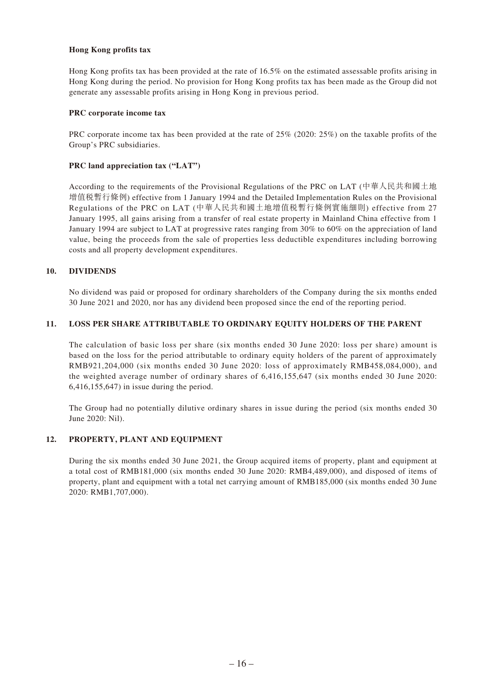#### **Hong Kong profits tax**

Hong Kong profits tax has been provided at the rate of 16.5% on the estimated assessable profits arising in Hong Kong during the period. No provision for Hong Kong profits tax has been made as the Group did not generate any assessable profits arising in Hong Kong in previous period.

#### **PRC corporate income tax**

PRC corporate income tax has been provided at the rate of 25% (2020: 25%) on the taxable profits of the Group's PRC subsidiaries.

#### **PRC land appreciation tax ("LAT")**

According to the requirements of the Provisional Regulations of the PRC on LAT (中華人民共和國土地 增值稅暫行條例) effective from 1 January 1994 and the Detailed Implementation Rules on the Provisional Regulations of the PRC on LAT (中華人民共和國土地增值稅暫行條例實施細則) effective from 27 January 1995, all gains arising from a transfer of real estate property in Mainland China effective from 1 January 1994 are subject to LAT at progressive rates ranging from 30% to 60% on the appreciation of land value, being the proceeds from the sale of properties less deductible expenditures including borrowing costs and all property development expenditures.

#### **10. DIVIDENDS**

No dividend was paid or proposed for ordinary shareholders of the Company during the six months ended 30 June 2021 and 2020, nor has any dividend been proposed since the end of the reporting period.

#### **11. LOSS PER SHARE ATTRIBUTABLE TO ORDINARY EQUITY HOLDERS OF THE PARENT**

The calculation of basic loss per share (six months ended 30 June 2020: loss per share) amount is based on the loss for the period attributable to ordinary equity holders of the parent of approximately RMB921,204,000 (six months ended 30 June 2020: loss of approximately RMB458,084,000), and the weighted average number of ordinary shares of 6,416,155,647 (six months ended 30 June 2020: 6,416,155,647) in issue during the period.

The Group had no potentially dilutive ordinary shares in issue during the period (six months ended 30 June 2020: Nil).

#### **12. PROPERTY, PLANT AND EQUIPMENT**

During the six months ended 30 June 2021, the Group acquired items of property, plant and equipment at a total cost of RMB181,000 (six months ended 30 June 2020: RMB4,489,000), and disposed of items of property, plant and equipment with a total net carrying amount of RMB185,000 (six months ended 30 June 2020: RMB1,707,000).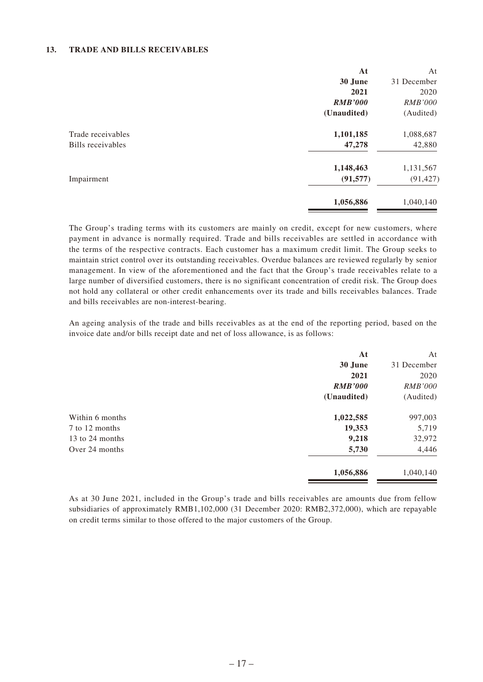#### **13. TRADE AND BILLS RECEIVABLES**

|                   | At             | At             |
|-------------------|----------------|----------------|
|                   | 30 June        | 31 December    |
|                   | 2021           | 2020           |
|                   | <b>RMB'000</b> | <i>RMB'000</i> |
|                   | (Unaudited)    | (Audited)      |
| Trade receivables | 1,101,185      | 1,088,687      |
| Bills receivables | 47,278         | 42,880         |
|                   | 1,148,463      | 1,131,567      |
| Impairment        | (91, 577)      | (91, 427)      |
|                   | 1,056,886      | 1,040,140      |

The Group's trading terms with its customers are mainly on credit, except for new customers, where payment in advance is normally required. Trade and bills receivables are settled in accordance with the terms of the respective contracts. Each customer has a maximum credit limit. The Group seeks to maintain strict control over its outstanding receivables. Overdue balances are reviewed regularly by senior management. In view of the aforementioned and the fact that the Group's trade receivables relate to a large number of diversified customers, there is no significant concentration of credit risk. The Group does not hold any collateral or other credit enhancements over its trade and bills receivables balances. Trade and bills receivables are non-interest-bearing.

An ageing analysis of the trade and bills receivables as at the end of the reporting period, based on the invoice date and/or bills receipt date and net of loss allowance, is as follows:

|                 | At             | At             |
|-----------------|----------------|----------------|
|                 | 30 June        | 31 December    |
|                 | 2021           | 2020           |
|                 | <b>RMB'000</b> | <i>RMB'000</i> |
|                 | (Unaudited)    | (Audited)      |
| Within 6 months | 1,022,585      | 997,003        |
| 7 to 12 months  | 19,353         | 5,719          |
| 13 to 24 months | 9,218          | 32,972         |
| Over 24 months  | 5,730          | 4,446          |
|                 | 1,056,886      | 1,040,140      |

As at 30 June 2021, included in the Group's trade and bills receivables are amounts due from fellow subsidiaries of approximately RMB1,102,000 (31 December 2020: RMB2,372,000), which are repayable on credit terms similar to those offered to the major customers of the Group.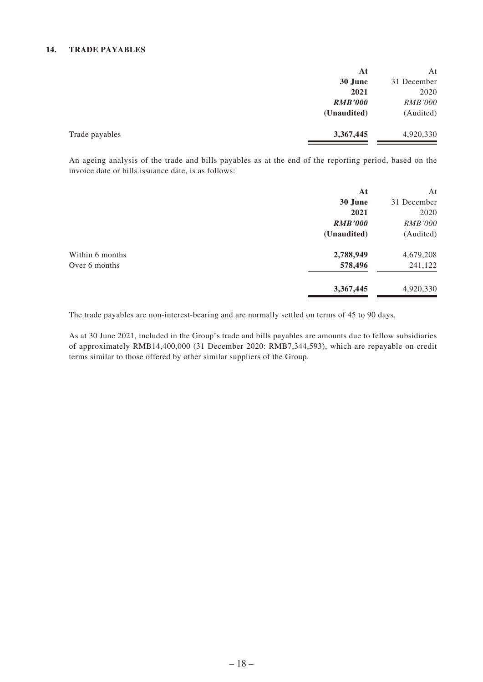#### **14. TRADE PAYABLES**

|                | At             | At             |
|----------------|----------------|----------------|
|                | 30 June        | 31 December    |
|                | 2021           | 2020           |
|                | <b>RMB'000</b> | <b>RMB'000</b> |
|                | (Unaudited)    | (Audited)      |
| Trade payables | 3,367,445      | 4,920,330      |

An ageing analysis of the trade and bills payables as at the end of the reporting period, based on the invoice date or bills issuance date, is as follows:

|                 | At             | At             |
|-----------------|----------------|----------------|
|                 | 30 June        | 31 December    |
|                 | 2021           | 2020           |
|                 | <b>RMB'000</b> | <i>RMB'000</i> |
|                 | (Unaudited)    | (Audited)      |
| Within 6 months | 2,788,949      | 4,679,208      |
| Over 6 months   | 578,496        | 241,122        |
|                 | 3,367,445      | 4,920,330      |

The trade payables are non-interest-bearing and are normally settled on terms of 45 to 90 days.

As at 30 June 2021, included in the Group's trade and bills payables are amounts due to fellow subsidiaries of approximately RMB14,400,000 (31 December 2020: RMB7,344,593), which are repayable on credit terms similar to those offered by other similar suppliers of the Group.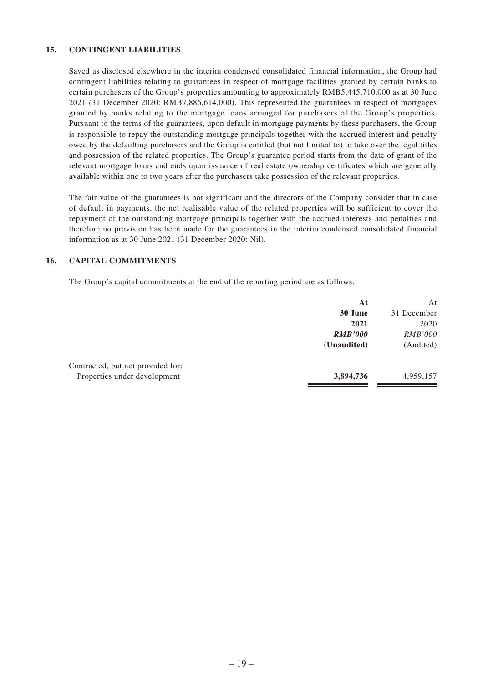#### **15. CONTINGENT LIABILITIES**

Saved as disclosed elsewhere in the interim condensed consolidated financial information, the Group had contingent liabilities relating to guarantees in respect of mortgage facilities granted by certain banks to certain purchasers of the Group's properties amounting to approximately RMB5,445,710,000 as at 30 June 2021 (31 December 2020: RMB7,886,614,000). This represented the guarantees in respect of mortgages granted by banks relating to the mortgage loans arranged for purchasers of the Group's properties. Pursuant to the terms of the guarantees, upon default in mortgage payments by these purchasers, the Group is responsible to repay the outstanding mortgage principals together with the accrued interest and penalty owed by the defaulting purchasers and the Group is entitled (but not limited to) to take over the legal titles and possession of the related properties. The Group's guarantee period starts from the date of grant of the relevant mortgage loans and ends upon issuance of real estate ownership certificates which are generally available within one to two years after the purchasers take possession of the relevant properties.

The fair value of the guarantees is not significant and the directors of the Company consider that in case of default in payments, the net realisable value of the related properties will be sufficient to cover the repayment of the outstanding mortgage principals together with the accrued interests and penalties and therefore no provision has been made for the guarantees in the interim condensed consolidated financial information as at 30 June 2021 (31 December 2020: Nil).

#### **16. CAPITAL COMMITMENTS**

The Group's capital commitments at the end of the reporting period are as follows:

|                                   | At             | At             |
|-----------------------------------|----------------|----------------|
|                                   | 30 June        | 31 December    |
|                                   | 2021           | 2020           |
|                                   | <b>RMB'000</b> | <i>RMB'000</i> |
|                                   | (Unaudited)    | (Audited)      |
| Contracted, but not provided for: |                |                |
| Properties under development      | 3,894,736      | 4,959,157      |
|                                   |                |                |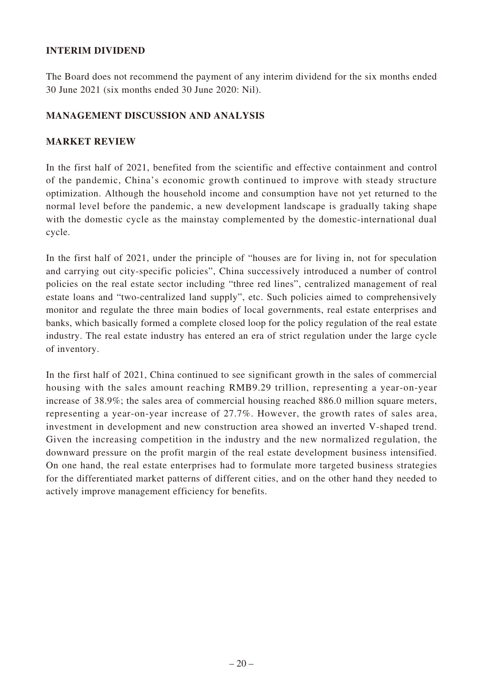## **INTERIM DIVIDEND**

The Board does not recommend the payment of any interim dividend for the six months ended 30 June 2021 (six months ended 30 June 2020: Nil).

## **MANAGEMENT DISCUSSION AND ANALYSIS**

## **MARKET REVIEW**

In the first half of 2021, benefited from the scientific and effective containment and control of the pandemic, China's economic growth continued to improve with steady structure optimization. Although the household income and consumption have not yet returned to the normal level before the pandemic, a new development landscape is gradually taking shape with the domestic cycle as the mainstay complemented by the domestic-international dual cycle.

In the first half of 2021, under the principle of "houses are for living in, not for speculation and carrying out city-specific policies", China successively introduced a number of control policies on the real estate sector including "three red lines", centralized management of real estate loans and "two-centralized land supply", etc. Such policies aimed to comprehensively monitor and regulate the three main bodies of local governments, real estate enterprises and banks, which basically formed a complete closed loop for the policy regulation of the real estate industry. The real estate industry has entered an era of strict regulation under the large cycle of inventory.

In the first half of 2021, China continued to see significant growth in the sales of commercial housing with the sales amount reaching RMB9.29 trillion, representing a year-on-year increase of 38.9%; the sales area of commercial housing reached 886.0 million square meters, representing a year-on-year increase of 27.7%. However, the growth rates of sales area, investment in development and new construction area showed an inverted V-shaped trend. Given the increasing competition in the industry and the new normalized regulation, the downward pressure on the profit margin of the real estate development business intensified. On one hand, the real estate enterprises had to formulate more targeted business strategies for the differentiated market patterns of different cities, and on the other hand they needed to actively improve management efficiency for benefits.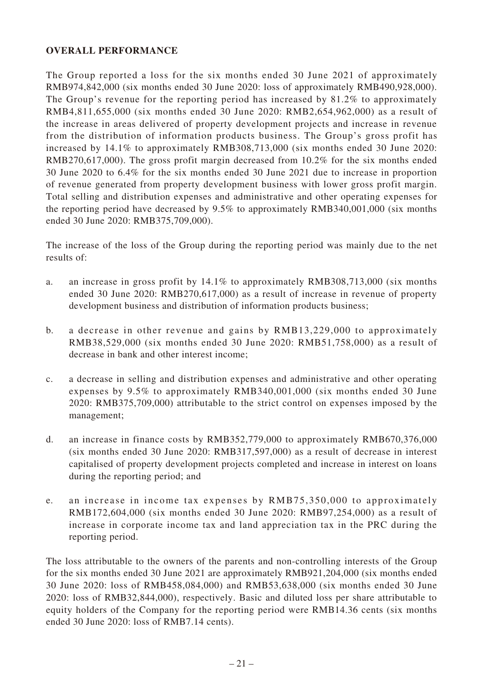## **OVERALL PERFORMANCE**

The Group reported a loss for the six months ended 30 June 2021 of approximately RMB974,842,000 (six months ended 30 June 2020: loss of approximately RMB490,928,000). The Group's revenue for the reporting period has increased by 81.2% to approximately RMB4,811,655,000 (six months ended 30 June 2020: RMB2,654,962,000) as a result of the increase in areas delivered of property development projects and increase in revenue from the distribution of information products business. The Group's gross profit has increased by 14.1% to approximately RMB308,713,000 (six months ended 30 June 2020: RMB270,617,000). The gross profit margin decreased from 10.2% for the six months ended 30 June 2020 to 6.4% for the six months ended 30 June 2021 due to increase in proportion of revenue generated from property development business with lower gross profit margin. Total selling and distribution expenses and administrative and other operating expenses for the reporting period have decreased by 9.5% to approximately RMB340,001,000 (six months ended 30 June 2020: RMB375,709,000).

The increase of the loss of the Group during the reporting period was mainly due to the net results of:

- a. an increase in gross profit by 14.1% to approximately RMB308,713,000 (six months ended 30 June 2020: RMB270,617,000) as a result of increase in revenue of property development business and distribution of information products business;
- b. a decrease in other revenue and gains by RMB13,229,000 to approximately RMB38,529,000 (six months ended 30 June 2020: RMB51,758,000) as a result of decrease in bank and other interest income;
- c. a decrease in selling and distribution expenses and administrative and other operating expenses by 9.5% to approximately RMB340,001,000 (six months ended 30 June 2020: RMB375,709,000) attributable to the strict control on expenses imposed by the management;
- d. an increase in finance costs by RMB352,779,000 to approximately RMB670,376,000 (six months ended 30 June 2020: RMB317,597,000) as a result of decrease in interest capitalised of property development projects completed and increase in interest on loans during the reporting period; and
- e. an increase in income tax expenses by RMB75,350,000 to approximately RMB172,604,000 (six months ended 30 June 2020: RMB97,254,000) as a result of increase in corporate income tax and land appreciation tax in the PRC during the reporting period.

The loss attributable to the owners of the parents and non-controlling interests of the Group for the six months ended 30 June 2021 are approximately RMB921,204,000 (six months ended 30 June 2020: loss of RMB458,084,000) and RMB53,638,000 (six months ended 30 June 2020: loss of RMB32,844,000), respectively. Basic and diluted loss per share attributable to equity holders of the Company for the reporting period were RMB14.36 cents (six months ended 30 June 2020: loss of RMB7.14 cents).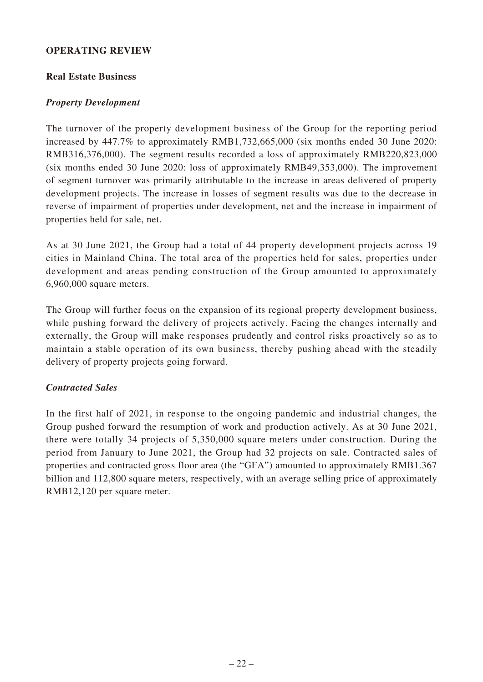## **OPERATING REVIEW**

#### **Real Estate Business**

## *Property Development*

The turnover of the property development business of the Group for the reporting period increased by 447.7% to approximately RMB1,732,665,000 (six months ended 30 June 2020: RMB316,376,000). The segment results recorded a loss of approximately RMB220,823,000 (six months ended 30 June 2020: loss of approximately RMB49,353,000). The improvement of segment turnover was primarily attributable to the increase in areas delivered of property development projects. The increase in losses of segment results was due to the decrease in reverse of impairment of properties under development, net and the increase in impairment of properties held for sale, net.

As at 30 June 2021, the Group had a total of 44 property development projects across 19 cities in Mainland China. The total area of the properties held for sales, properties under development and areas pending construction of the Group amounted to approximately 6,960,000 square meters.

The Group will further focus on the expansion of its regional property development business, while pushing forward the delivery of projects actively. Facing the changes internally and externally, the Group will make responses prudently and control risks proactively so as to maintain a stable operation of its own business, thereby pushing ahead with the steadily delivery of property projects going forward.

## *Contracted Sales*

In the first half of 2021, in response to the ongoing pandemic and industrial changes, the Group pushed forward the resumption of work and production actively. As at 30 June 2021, there were totally 34 projects of 5,350,000 square meters under construction. During the period from January to June 2021, the Group had 32 projects on sale. Contracted sales of properties and contracted gross floor area (the "GFA") amounted to approximately RMB1.367 billion and 112,800 square meters, respectively, with an average selling price of approximately RMB12,120 per square meter.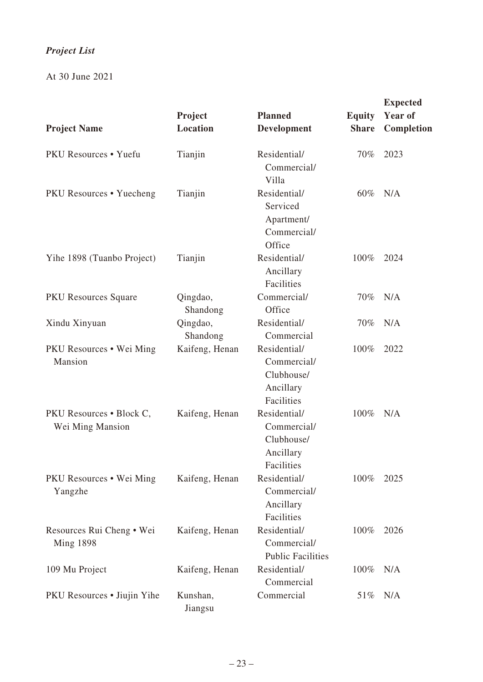# *Project List*

At 30 June 2021

|                                               | Project              | <b>Planned</b>                                                       | <b>Equity</b> | <b>Expected</b><br>Year of |
|-----------------------------------------------|----------------------|----------------------------------------------------------------------|---------------|----------------------------|
| <b>Project Name</b>                           | Location             | Development                                                          | <b>Share</b>  | Completion                 |
| PKU Resources • Yuefu                         | Tianjin              | Residential/<br>Commercial/<br>Villa                                 | 70%           | 2023                       |
| PKU Resources . Yuecheng                      | Tianjin              | Residential/<br>Serviced<br>Apartment/<br>Commercial/<br>Office      | $60\%$        | N/A                        |
| Yihe 1898 (Tuanbo Project)                    | Tianjin              | Residential/<br>Ancillary<br>Facilities                              | 100%          | 2024                       |
| <b>PKU</b> Resources Square                   | Qingdao,<br>Shandong | Commercial/<br>Office                                                | 70%           | N/A                        |
| Xindu Xinyuan                                 | Qingdao,<br>Shandong | Residential/<br>Commercial                                           | 70%           | N/A                        |
| PKU Resources • Wei Ming<br>Mansion           | Kaifeng, Henan       | Residential/<br>Commercial/<br>Clubhouse/<br>Ancillary<br>Facilities | 100%          | 2022                       |
| PKU Resources • Block C,<br>Wei Ming Mansion  | Kaifeng, Henan       | Residential/<br>Commercial/<br>Clubhouse/<br>Ancillary<br>Facilities | 100%          | N/A                        |
| PKU Resources • Wei Ming<br>Yangzhe           | Kaifeng, Henan       | Residential/<br>Commercial/<br>Ancillary<br>Facilities               | 100%          | 2025                       |
| Resources Rui Cheng • Wei<br><b>Ming 1898</b> | Kaifeng, Henan       | Residential/<br>Commercial/<br><b>Public Facilities</b>              | 100%          | 2026                       |
| 109 Mu Project                                | Kaifeng, Henan       | Residential/<br>Commercial                                           | 100%          | N/A                        |
| PKU Resources • Jiujin Yihe                   | Kunshan,<br>Jiangsu  | Commercial                                                           | 51\%          | N/A                        |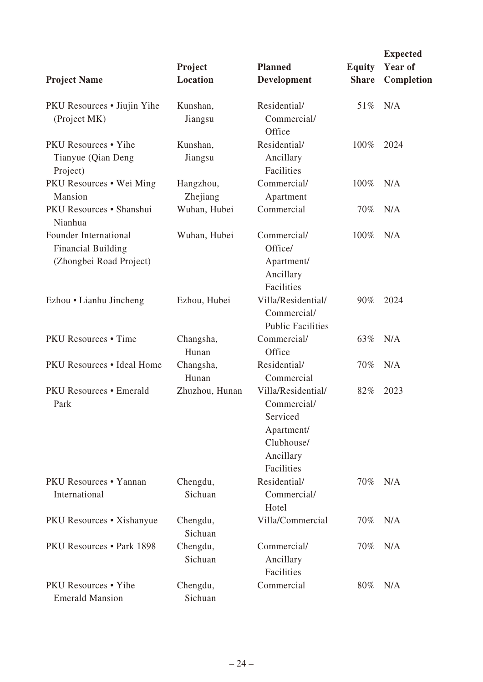| <b>Project Name</b>                                                           | Project<br>Location   | <b>Planned</b><br>Development                                                                        | <b>Equity</b><br><b>Share</b> | <b>Expected</b><br>Year of<br>Completion |
|-------------------------------------------------------------------------------|-----------------------|------------------------------------------------------------------------------------------------------|-------------------------------|------------------------------------------|
| PKU Resources • Jiujin Yihe<br>(Project MK)                                   | Kunshan,<br>Jiangsu   | Residential/<br>Commercial/<br>Office                                                                | 51%                           | N/A                                      |
| <b>PKU</b> Resources • Yihe<br>Tianyue (Qian Deng<br>Project)                 | Kunshan,<br>Jiangsu   | Residential/<br>Ancillary<br>Facilities                                                              | 100%                          | 2024                                     |
| PKU Resources . Wei Ming<br>Mansion                                           | Hangzhou,<br>Zhejiang | Commercial/<br>Apartment                                                                             | 100%                          | N/A                                      |
| PKU Resources · Shanshui<br>Nianhua                                           | Wuhan, Hubei          | Commercial                                                                                           | $70\%$                        | N/A                                      |
| Founder International<br><b>Financial Building</b><br>(Zhongbei Road Project) | Wuhan, Hubei          | Commercial/<br>Office/<br>Apartment/<br>Ancillary<br>Facilities                                      | $100\%$                       | N/A                                      |
| Ezhou • Lianhu Jincheng                                                       | Ezhou, Hubei          | Villa/Residential/<br>Commercial/<br><b>Public Facilities</b>                                        | 90%                           | 2024                                     |
| <b>PKU</b> Resources • Time                                                   | Changsha,<br>Hunan    | Commercial/<br>Office                                                                                | 63%                           | N/A                                      |
| PKU Resources . Ideal Home                                                    | Changsha,<br>Hunan    | Residential/<br>Commercial                                                                           | $70\%$                        | N/A                                      |
| <b>PKU Resources • Emerald</b><br>Park                                        | Zhuzhou, Hunan        | Villa/Residential/<br>Commercial/<br>Serviced<br>Apartment/<br>Clubhouse/<br>Ancillary<br>Facilities | 82%                           | 2023                                     |
| PKU Resources • Yannan<br>International                                       | Chengdu,<br>Sichuan   | Residential/<br>Commercial/<br>Hotel                                                                 | 70%                           | N/A                                      |
| PKU Resources • Xishanyue                                                     | Chengdu,<br>Sichuan   | Villa/Commercial                                                                                     | $70\%$                        | N/A                                      |
| PKU Resources • Park 1898                                                     | Chengdu,<br>Sichuan   | Commercial/<br>Ancillary<br>Facilities                                                               | $70\%$                        | N/A                                      |
| <b>PKU</b> Resources • Yihe<br><b>Emerald Mansion</b>                         | Chengdu,<br>Sichuan   | Commercial                                                                                           | 80%                           | N/A                                      |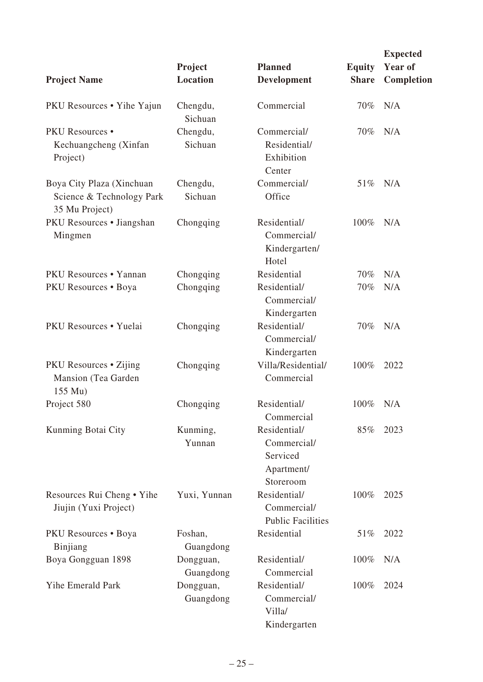|                                                                          |                        |                                                                    |               | <b>Expected</b> |
|--------------------------------------------------------------------------|------------------------|--------------------------------------------------------------------|---------------|-----------------|
|                                                                          | Project                | <b>Planned</b>                                                     | <b>Equity</b> | Year of         |
| <b>Project Name</b>                                                      | Location               | Development                                                        | <b>Share</b>  | Completion      |
| PKU Resources • Yihe Yajun                                               | Chengdu,<br>Sichuan    | Commercial                                                         | $70\%$        | N/A             |
| <b>PKU Resources</b> •<br>Kechuangcheng (Xinfan<br>Project)              | Chengdu,<br>Sichuan    | Commercial/<br>Residential/<br>Exhibition<br>Center                | 70%           | N/A             |
| Boya City Plaza (Xinchuan<br>Science & Technology Park<br>35 Mu Project) | Chengdu,<br>Sichuan    | Commercial/<br>Office                                              | 51%           | N/A             |
| PKU Resources • Jiangshan<br>Mingmen                                     | Chongqing              | Residential/<br>Commercial/<br>Kindergarten/<br>Hotel              | 100%          | N/A             |
| PKU Resources • Yannan                                                   | Chongqing              | Residential                                                        | 70%           | N/A             |
| PKU Resources . Boya                                                     | Chongqing              | Residential/<br>Commercial/<br>Kindergarten                        | 70%           | N/A             |
| PKU Resources • Yuelai                                                   | Chongqing              | Residential/<br>Commercial/<br>Kindergarten                        | 70%           | N/A             |
| <b>PKU</b> Resources • Zijing<br>Mansion (Tea Garden<br>155 Mu)          | Chongqing              | Villa/Residential/<br>Commercial                                   | 100%          | 2022            |
| Project 580                                                              | Chongqing              | Residential/<br>Commercial                                         | 100%          | N/A             |
| Kunming Botai City                                                       | Kunming,<br>Yunnan     | Residential/<br>Commercial/<br>Serviced<br>Apartment/<br>Storeroom | 85%           | 2023            |
| Resources Rui Cheng • Yihe<br>Jiujin (Yuxi Project)                      | Yuxi, Yunnan           | Residential/<br>Commercial/<br><b>Public Facilities</b>            | 100%          | 2025            |
| PKU Resources • Boya<br>Binjiang                                         | Foshan,<br>Guangdong   | Residential                                                        | 51%           | 2022            |
| Boya Gongguan 1898                                                       | Dongguan,<br>Guangdong | Residential/<br>Commercial                                         | 100%          | N/A             |
| <b>Yihe Emerald Park</b>                                                 | Dongguan,<br>Guangdong | Residential/<br>Commercial/<br>Villa/<br>Kindergarten              | 100%          | 2024            |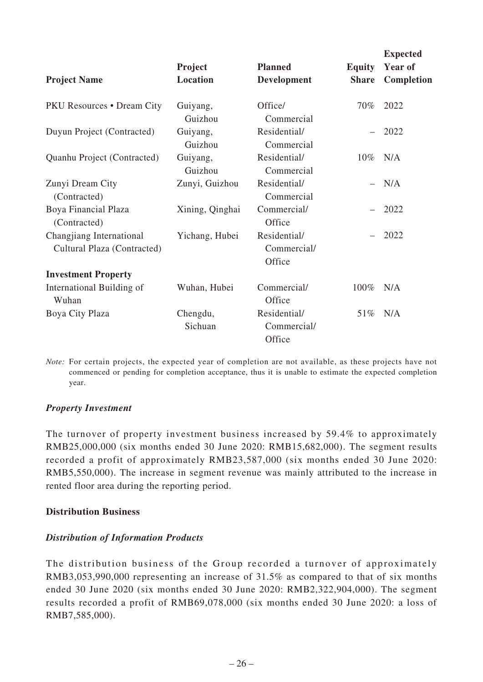|                                                         | Project             | <b>Planned</b>                        | <b>Equity</b> | <b>Expected</b><br>Year of |
|---------------------------------------------------------|---------------------|---------------------------------------|---------------|----------------------------|
| <b>Project Name</b>                                     | Location            | Development                           | <b>Share</b>  | Completion                 |
| <b>PKU Resources • Dream City</b>                       | Guiyang,<br>Guizhou | Office/<br>Commercial                 | $70\%$        | 2022                       |
| Duyun Project (Contracted)                              | Guiyang,<br>Guizhou | Residential/<br>Commercial            |               | 2022                       |
| Quanhu Project (Contracted)                             | Guiyang,<br>Guizhou | Residential/<br>Commercial            | $10\%$        | N/A                        |
| Zunyi Dream City<br>(Contracted)                        | Zunyi, Guizhou      | Residential/<br>Commercial            |               | N/A                        |
| Boya Financial Plaza<br>(Contracted)                    | Xining, Qinghai     | Commercial/<br>Office                 |               | 2022                       |
| Changjiang International<br>Cultural Plaza (Contracted) | Yichang, Hubei      | Residential/<br>Commercial/<br>Office |               | 2022                       |
| <b>Investment Property</b>                              |                     |                                       |               |                            |
| International Building of<br>Wuhan                      | Wuhan, Hubei        | Commercial/<br>Office                 | $100\%$       | N/A                        |
| Boya City Plaza                                         | Chengdu,<br>Sichuan | Residential/<br>Commercial/<br>Office | 51%           | N/A                        |

*Note:* For certain projects, the expected year of completion are not available, as these projects have not commenced or pending for completion acceptance, thus it is unable to estimate the expected completion year.

## *Property Investment*

The turnover of property investment business increased by 59.4% to approximately RMB25,000,000 (six months ended 30 June 2020: RMB15,682,000). The segment results recorded a profit of approximately RMB23,587,000 (six months ended 30 June 2020: RMB5,550,000). The increase in segment revenue was mainly attributed to the increase in rented floor area during the reporting period.

## **Distribution Business**

## *Distribution of Information Products*

The distribution business of the Group recorded a turnover of approximately RMB3,053,990,000 representing an increase of 31.5% as compared to that of six months ended 30 June 2020 (six months ended 30 June 2020: RMB2,322,904,000). The segment results recorded a profit of RMB69,078,000 (six months ended 30 June 2020: a loss of RMB7,585,000).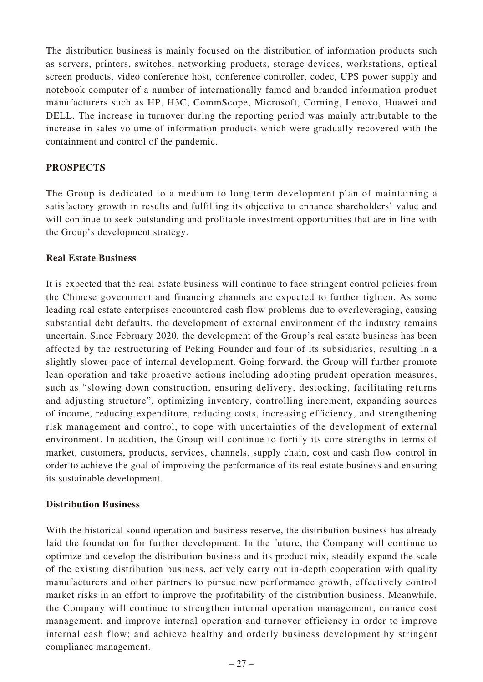The distribution business is mainly focused on the distribution of information products such as servers, printers, switches, networking products, storage devices, workstations, optical screen products, video conference host, conference controller, codec, UPS power supply and notebook computer of a number of internationally famed and branded information product manufacturers such as HP, H3C, CommScope, Microsoft, Corning, Lenovo, Huawei and DELL. The increase in turnover during the reporting period was mainly attributable to the increase in sales volume of information products which were gradually recovered with the containment and control of the pandemic.

#### **PROSPECTS**

The Group is dedicated to a medium to long term development plan of maintaining a satisfactory growth in results and fulfilling its objective to enhance shareholders' value and will continue to seek outstanding and profitable investment opportunities that are in line with the Group's development strategy.

#### **Real Estate Business**

It is expected that the real estate business will continue to face stringent control policies from the Chinese government and financing channels are expected to further tighten. As some leading real estate enterprises encountered cash flow problems due to overleveraging, causing substantial debt defaults, the development of external environment of the industry remains uncertain. Since February 2020, the development of the Group's real estate business has been affected by the restructuring of Peking Founder and four of its subsidiaries, resulting in a slightly slower pace of internal development. Going forward, the Group will further promote lean operation and take proactive actions including adopting prudent operation measures, such as "slowing down construction, ensuring delivery, destocking, facilitating returns and adjusting structure", optimizing inventory, controlling increment, expanding sources of income, reducing expenditure, reducing costs, increasing efficiency, and strengthening risk management and control, to cope with uncertainties of the development of external environment. In addition, the Group will continue to fortify its core strengths in terms of market, customers, products, services, channels, supply chain, cost and cash flow control in order to achieve the goal of improving the performance of its real estate business and ensuring its sustainable development.

## **Distribution Business**

With the historical sound operation and business reserve, the distribution business has already laid the foundation for further development. In the future, the Company will continue to optimize and develop the distribution business and its product mix, steadily expand the scale of the existing distribution business, actively carry out in-depth cooperation with quality manufacturers and other partners to pursue new performance growth, effectively control market risks in an effort to improve the profitability of the distribution business. Meanwhile, the Company will continue to strengthen internal operation management, enhance cost management, and improve internal operation and turnover efficiency in order to improve internal cash flow; and achieve healthy and orderly business development by stringent compliance management.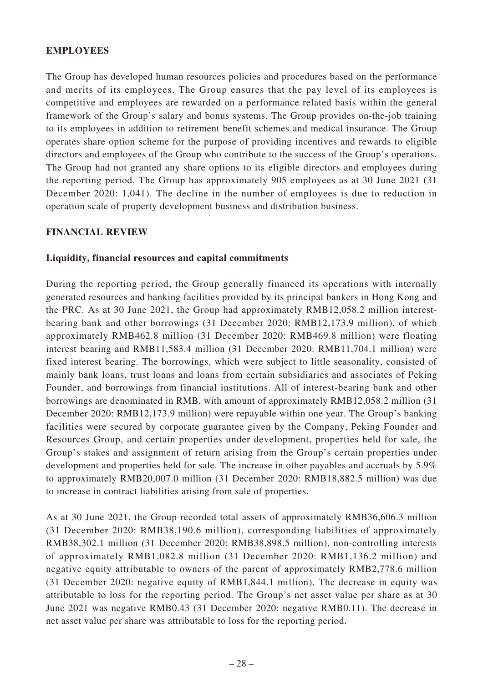## **EMPLOYEES**

The Group has developed human resources policies and procedures based on the performance and merits of its employees. The Group ensures that the pay level of its employees is competitive and employees are rewarded on a performance related basis within the general framework of the Group's salary and bonus systems. The Group provides on-the-job training to its employees in addition to retirement benefit schemes and medical insurance. The Group operates share option scheme for the purpose of providing incentives and rewards to eligible directors and employees of the Group who contribute to the success of the Group's operations. The Group had not granted any share options to its eligible directors and employees during the reporting period. The Group has approximately 905 employees as at 30 June 2021 (31 December 2020: 1,041). The decline in the number of employees is due to reduction in operation scale of property development business and distribution business.

## **FINANCIAL REVIEW**

## **Liquidity, financial resources and capital commitments**

During the reporting period, the Group generally financed its operations with internally generated resources and banking facilities provided by its principal bankers in Hong Kong and the PRC. As at 30 June 2021, the Group had approximately RMB12,058.2 million interestbearing bank and other borrowings (31 December 2020: RMB12,173.9 million), of which approximately RMB462.8 million (31 December 2020: RMB469.8 million) were floating interest bearing and RMB11,583.4 million (31 December 2020: RMB11,704.1 million) were fixed interest bearing. The borrowings, which were subject to little seasonality, consisted of mainly bank loans, trust loans and loans from certain subsidiaries and associates of Peking Founder, and borrowings from financial institutions. All of interest-bearing bank and other borrowings are denominated in RMB, with amount of approximately RMB12,058.2 million (31 December 2020: RMB12,173.9 million) were repayable within one year. The Group's banking facilities were secured by corporate guarantee given by the Company, Peking Founder and Resources Group, and certain properties under development, properties held for sale, the Group's stakes and assignment of return arising from the Group's certain properties under development and properties held for sale. The increase in other payables and accruals by 5.9% to approximately RMB20,007.0 million (31 December 2020: RMB18,882.5 million) was due to increase in contract liabilities arising from sale of properties.

As at 30 June 2021, the Group recorded total assets of approximately RMB36,606.3 million (31 December 2020: RMB38,190.6 million), corresponding liabilities of approximately RMB38,302.1 million (31 December 2020: RMB38,898.5 million), non-controlling interests of approximately RMB1,082.8 million (31 December 2020: RMB1,136.2 million) and negative equity attributable to owners of the parent of approximately RMB2,778.6 million (31 December 2020: negative equity of RMB1,844.1 million). The decrease in equity was attributable to loss for the reporting period. The Group's net asset value per share as at 30 June 2021 was negative RMB0.43 (31 December 2020: negative RMB0.11). The decrease in net asset value per share was attributable to loss for the reporting period.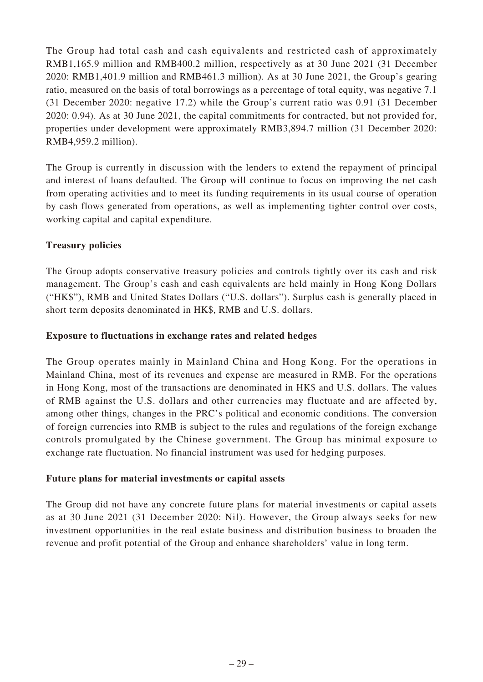The Group had total cash and cash equivalents and restricted cash of approximately RMB1,165.9 million and RMB400.2 million, respectively as at 30 June 2021 (31 December 2020: RMB1,401.9 million and RMB461.3 million). As at 30 June 2021, the Group's gearing ratio, measured on the basis of total borrowings as a percentage of total equity, was negative 7.1 (31 December 2020: negative 17.2) while the Group's current ratio was 0.91 (31 December 2020: 0.94). As at 30 June 2021, the capital commitments for contracted, but not provided for, properties under development were approximately RMB3,894.7 million (31 December 2020: RMB4,959.2 million).

The Group is currently in discussion with the lenders to extend the repayment of principal and interest of loans defaulted. The Group will continue to focus on improving the net cash from operating activities and to meet its funding requirements in its usual course of operation by cash flows generated from operations, as well as implementing tighter control over costs, working capital and capital expenditure.

## **Treasury policies**

The Group adopts conservative treasury policies and controls tightly over its cash and risk management. The Group's cash and cash equivalents are held mainly in Hong Kong Dollars ("HK\$"), RMB and United States Dollars ("U.S. dollars"). Surplus cash is generally placed in short term deposits denominated in HK\$, RMB and U.S. dollars.

## **Exposure to fluctuations in exchange rates and related hedges**

The Group operates mainly in Mainland China and Hong Kong. For the operations in Mainland China, most of its revenues and expense are measured in RMB. For the operations in Hong Kong, most of the transactions are denominated in HK\$ and U.S. dollars. The values of RMB against the U.S. dollars and other currencies may fluctuate and are affected by, among other things, changes in the PRC's political and economic conditions. The conversion of foreign currencies into RMB is subject to the rules and regulations of the foreign exchange controls promulgated by the Chinese government. The Group has minimal exposure to exchange rate fluctuation. No financial instrument was used for hedging purposes.

## **Future plans for material investments or capital assets**

The Group did not have any concrete future plans for material investments or capital assets as at 30 June 2021 (31 December 2020: Nil). However, the Group always seeks for new investment opportunities in the real estate business and distribution business to broaden the revenue and profit potential of the Group and enhance shareholders' value in long term.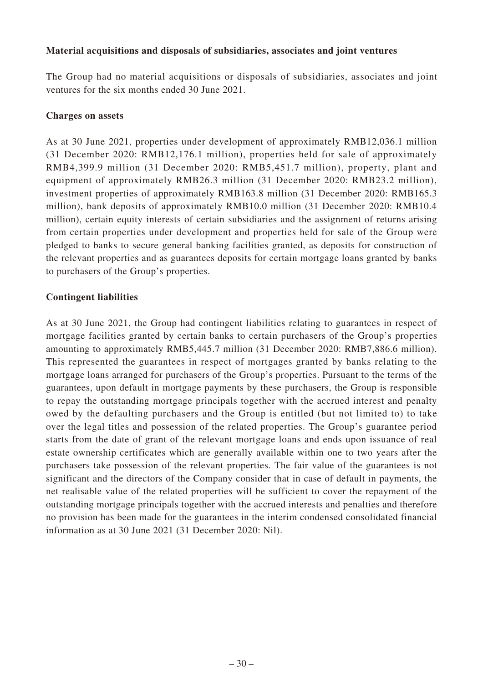## **Material acquisitions and disposals of subsidiaries, associates and joint ventures**

The Group had no material acquisitions or disposals of subsidiaries, associates and joint ventures for the six months ended 30 June 2021.

## **Charges on assets**

As at 30 June 2021, properties under development of approximately RMB12,036.1 million (31 December 2020: RMB12,176.1 million), properties held for sale of approximately RMB4,399.9 million (31 December 2020: RMB5,451.7 million), property, plant and equipment of approximately RMB26.3 million (31 December 2020: RMB23.2 million), investment properties of approximately RMB163.8 million (31 December 2020: RMB165.3 million), bank deposits of approximately RMB10.0 million (31 December 2020: RMB10.4 million), certain equity interests of certain subsidiaries and the assignment of returns arising from certain properties under development and properties held for sale of the Group were pledged to banks to secure general banking facilities granted, as deposits for construction of the relevant properties and as guarantees deposits for certain mortgage loans granted by banks to purchasers of the Group's properties.

## **Contingent liabilities**

As at 30 June 2021, the Group had contingent liabilities relating to guarantees in respect of mortgage facilities granted by certain banks to certain purchasers of the Group's properties amounting to approximately RMB5,445.7 million (31 December 2020: RMB7,886.6 million). This represented the guarantees in respect of mortgages granted by banks relating to the mortgage loans arranged for purchasers of the Group's properties. Pursuant to the terms of the guarantees, upon default in mortgage payments by these purchasers, the Group is responsible to repay the outstanding mortgage principals together with the accrued interest and penalty owed by the defaulting purchasers and the Group is entitled (but not limited to) to take over the legal titles and possession of the related properties. The Group's guarantee period starts from the date of grant of the relevant mortgage loans and ends upon issuance of real estate ownership certificates which are generally available within one to two years after the purchasers take possession of the relevant properties. The fair value of the guarantees is not significant and the directors of the Company consider that in case of default in payments, the net realisable value of the related properties will be sufficient to cover the repayment of the outstanding mortgage principals together with the accrued interests and penalties and therefore no provision has been made for the guarantees in the interim condensed consolidated financial information as at 30 June 2021 (31 December 2020: Nil).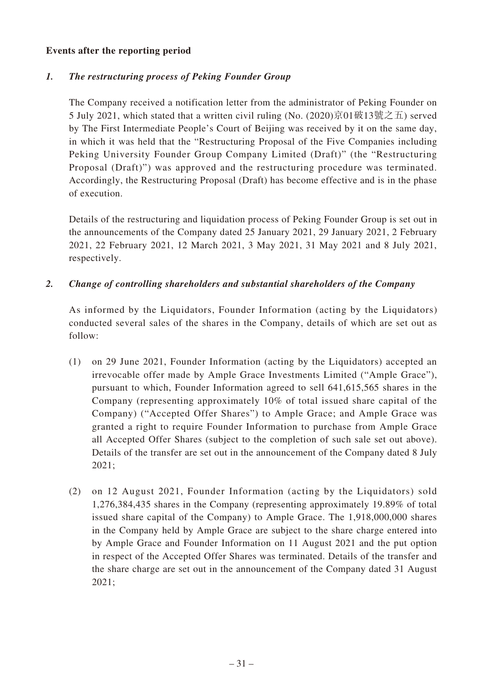## **Events after the reporting period**

## *1. The restructuring process of Peking Founder Group*

The Company received a notification letter from the administrator of Peking Founder on 5 July 2021, which stated that a written civil ruling (No. (2020)京01破13號之五) served by The First Intermediate People's Court of Beijing was received by it on the same day, in which it was held that the "Restructuring Proposal of the Five Companies including Peking University Founder Group Company Limited (Draft)" (the "Restructuring Proposal (Draft)") was approved and the restructuring procedure was terminated. Accordingly, the Restructuring Proposal (Draft) has become effective and is in the phase of execution.

Details of the restructuring and liquidation process of Peking Founder Group is set out in the announcements of the Company dated 25 January 2021, 29 January 2021, 2 February 2021, 22 February 2021, 12 March 2021, 3 May 2021, 31 May 2021 and 8 July 2021, respectively.

## *2. Change of controlling shareholders and substantial shareholders of the Company*

As informed by the Liquidators, Founder Information (acting by the Liquidators) conducted several sales of the shares in the Company, details of which are set out as follow:

- (1) on 29 June 2021, Founder Information (acting by the Liquidators) accepted an irrevocable offer made by Ample Grace Investments Limited ("Ample Grace"), pursuant to which, Founder Information agreed to sell 641,615,565 shares in the Company (representing approximately 10% of total issued share capital of the Company) ("Accepted Offer Shares") to Ample Grace; and Ample Grace was granted a right to require Founder Information to purchase from Ample Grace all Accepted Offer Shares (subject to the completion of such sale set out above). Details of the transfer are set out in the announcement of the Company dated 8 July 2021;
- (2) on 12 August 2021, Founder Information (acting by the Liquidators) sold 1,276,384,435 shares in the Company (representing approximately 19.89% of total issued share capital of the Company) to Ample Grace. The 1,918,000,000 shares in the Company held by Ample Grace are subject to the share charge entered into by Ample Grace and Founder Information on 11 August 2021 and the put option in respect of the Accepted Offer Shares was terminated. Details of the transfer and the share charge are set out in the announcement of the Company dated 31 August 2021;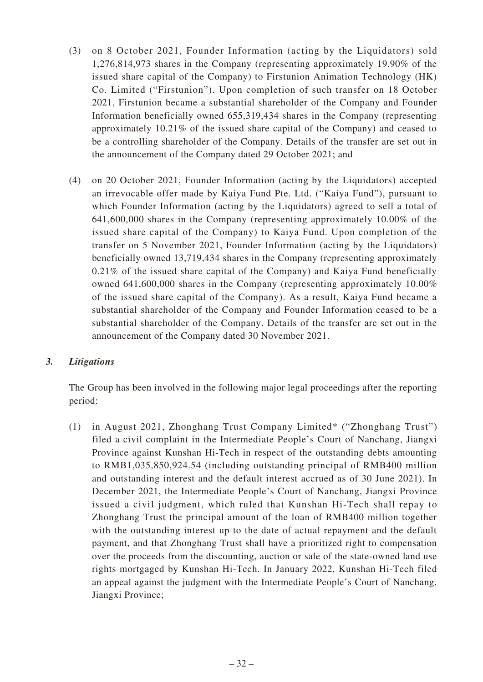- (3) on 8 October 2021, Founder Information (acting by the Liquidators) sold 1,276,814,973 shares in the Company (representing approximately 19.90% of the issued share capital of the Company) to Firstunion Animation Technology (HK) Co. Limited ("Firstunion"). Upon completion of such transfer on 18 October 2021, Firstunion became a substantial shareholder of the Company and Founder Information beneficially owned 655,319,434 shares in the Company (representing approximately 10.21% of the issued share capital of the Company) and ceased to be a controlling shareholder of the Company. Details of the transfer are set out in the announcement of the Company dated 29 October 2021; and
- (4) on 20 October 2021, Founder Information (acting by the Liquidators) accepted an irrevocable offer made by Kaiya Fund Pte. Ltd. ("Kaiya Fund"), pursuant to which Founder Information (acting by the Liquidators) agreed to sell a total of 641,600,000 shares in the Company (representing approximately 10.00% of the issued share capital of the Company) to Kaiya Fund. Upon completion of the transfer on 5 November 2021, Founder Information (acting by the Liquidators) beneficially owned 13,719,434 shares in the Company (representing approximately 0.21% of the issued share capital of the Company) and Kaiya Fund beneficially owned 641,600,000 shares in the Company (representing approximately 10.00% of the issued share capital of the Company). As a result, Kaiya Fund became a substantial shareholder of the Company and Founder Information ceased to be a substantial shareholder of the Company. Details of the transfer are set out in the announcement of the Company dated 30 November 2021.

## *3. Litigations*

The Group has been involved in the following major legal proceedings after the reporting period:

(1) in August 2021, Zhonghang Trust Company Limited\* ("Zhonghang Trust") filed a civil complaint in the Intermediate People's Court of Nanchang, Jiangxi Province against Kunshan Hi-Tech in respect of the outstanding debts amounting to RMB1,035,850,924.54 (including outstanding principal of RMB400 million and outstanding interest and the default interest accrued as of 30 June 2021). In December 2021, the Intermediate People's Court of Nanchang, Jiangxi Province issued a civil judgment, which ruled that Kunshan Hi-Tech shall repay to Zhonghang Trust the principal amount of the loan of RMB400 million together with the outstanding interest up to the date of actual repayment and the default payment, and that Zhonghang Trust shall have a prioritized right to compensation over the proceeds from the discounting, auction or sale of the state-owned land use rights mortgaged by Kunshan Hi-Tech. In January 2022, Kunshan Hi-Tech filed an appeal against the judgment with the Intermediate People's Court of Nanchang, Jiangxi Province;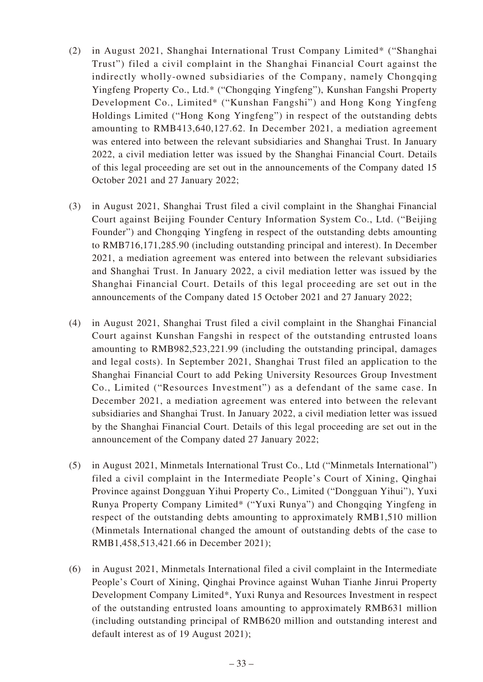- (2) in August 2021, Shanghai International Trust Company Limited\* ("Shanghai Trust") filed a civil complaint in the Shanghai Financial Court against the indirectly wholly-owned subsidiaries of the Company, namely Chongqing Yingfeng Property Co., Ltd.\* ("Chongqing Yingfeng"), Kunshan Fangshi Property Development Co., Limited\* ("Kunshan Fangshi") and Hong Kong Yingfeng Holdings Limited ("Hong Kong Yingfeng") in respect of the outstanding debts amounting to RMB413,640,127.62. In December 2021, a mediation agreement was entered into between the relevant subsidiaries and Shanghai Trust. In January 2022, a civil mediation letter was issued by the Shanghai Financial Court. Details of this legal proceeding are set out in the announcements of the Company dated 15 October 2021 and 27 January 2022;
- (3) in August 2021, Shanghai Trust filed a civil complaint in the Shanghai Financial Court against Beijing Founder Century Information System Co., Ltd. ("Beijing Founder") and Chongqing Yingfeng in respect of the outstanding debts amounting to RMB716,171,285.90 (including outstanding principal and interest). In December 2021, a mediation agreement was entered into between the relevant subsidiaries and Shanghai Trust. In January 2022, a civil mediation letter was issued by the Shanghai Financial Court. Details of this legal proceeding are set out in the announcements of the Company dated 15 October 2021 and 27 January 2022;
- (4) in August 2021, Shanghai Trust filed a civil complaint in the Shanghai Financial Court against Kunshan Fangshi in respect of the outstanding entrusted loans amounting to RMB982,523,221.99 (including the outstanding principal, damages and legal costs). In September 2021, Shanghai Trust filed an application to the Shanghai Financial Court to add Peking University Resources Group Investment Co., Limited ("Resources Investment") as a defendant of the same case. In December 2021, a mediation agreement was entered into between the relevant subsidiaries and Shanghai Trust. In January 2022, a civil mediation letter was issued by the Shanghai Financial Court. Details of this legal proceeding are set out in the announcement of the Company dated 27 January 2022;
- (5) in August 2021, Minmetals International Trust Co., Ltd ("Minmetals International") filed a civil complaint in the Intermediate People's Court of Xining, Qinghai Province against Dongguan Yihui Property Co., Limited ("Dongguan Yihui"), Yuxi Runya Property Company Limited\* ("Yuxi Runya") and Chongqing Yingfeng in respect of the outstanding debts amounting to approximately RMB1,510 million (Minmetals International changed the amount of outstanding debts of the case to RMB1,458,513,421.66 in December 2021);
- (6) in August 2021, Minmetals International filed a civil complaint in the Intermediate People's Court of Xining, Qinghai Province against Wuhan Tianhe Jinrui Property Development Company Limited\*, Yuxi Runya and Resources Investment in respect of the outstanding entrusted loans amounting to approximately RMB631 million (including outstanding principal of RMB620 million and outstanding interest and default interest as of 19 August 2021);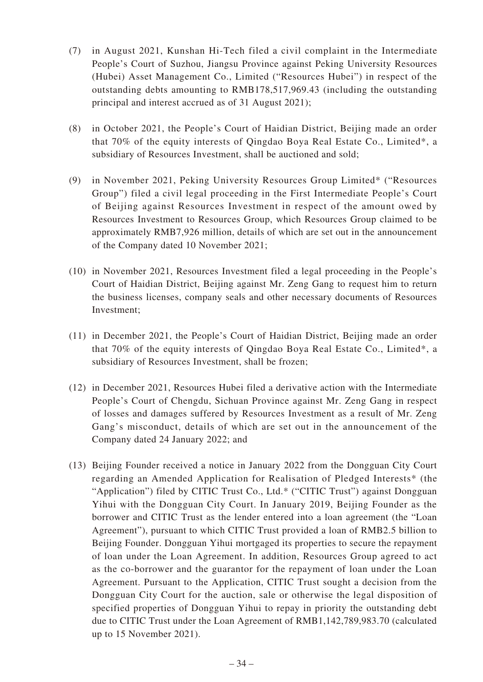- (7) in August 2021, Kunshan Hi-Tech filed a civil complaint in the Intermediate People's Court of Suzhou, Jiangsu Province against Peking University Resources (Hubei) Asset Management Co., Limited ("Resources Hubei") in respect of the outstanding debts amounting to RMB178,517,969.43 (including the outstanding principal and interest accrued as of 31 August 2021);
- (8) in October 2021, the People's Court of Haidian District, Beijing made an order that 70% of the equity interests of Qingdao Boya Real Estate Co., Limited\*, a subsidiary of Resources Investment, shall be auctioned and sold;
- (9) in November 2021, Peking University Resources Group Limited\* ("Resources Group") filed a civil legal proceeding in the First Intermediate People's Court of Beijing against Resources Investment in respect of the amount owed by Resources Investment to Resources Group, which Resources Group claimed to be approximately RMB7,926 million, details of which are set out in the announcement of the Company dated 10 November 2021;
- (10) in November 2021, Resources Investment filed a legal proceeding in the People's Court of Haidian District, Beijing against Mr. Zeng Gang to request him to return the business licenses, company seals and other necessary documents of Resources Investment;
- (11) in December 2021, the People's Court of Haidian District, Beijing made an order that 70% of the equity interests of Qingdao Boya Real Estate Co., Limited\*, a subsidiary of Resources Investment, shall be frozen;
- (12) in December 2021, Resources Hubei filed a derivative action with the Intermediate People's Court of Chengdu, Sichuan Province against Mr. Zeng Gang in respect of losses and damages suffered by Resources Investment as a result of Mr. Zeng Gang's misconduct, details of which are set out in the announcement of the Company dated 24 January 2022; and
- (13) Beijing Founder received a notice in January 2022 from the Dongguan City Court regarding an Amended Application for Realisation of Pledged Interests\* (the "Application") filed by CITIC Trust Co., Ltd.\* ("CITIC Trust") against Dongguan Yihui with the Dongguan City Court. In January 2019, Beijing Founder as the borrower and CITIC Trust as the lender entered into a loan agreement (the "Loan Agreement"), pursuant to which CITIC Trust provided a loan of RMB2.5 billion to Beijing Founder. Dongguan Yihui mortgaged its properties to secure the repayment of loan under the Loan Agreement. In addition, Resources Group agreed to act as the co-borrower and the guarantor for the repayment of loan under the Loan Agreement. Pursuant to the Application, CITIC Trust sought a decision from the Dongguan City Court for the auction, sale or otherwise the legal disposition of specified properties of Dongguan Yihui to repay in priority the outstanding debt due to CITIC Trust under the Loan Agreement of RMB1,142,789,983.70 (calculated up to 15 November 2021).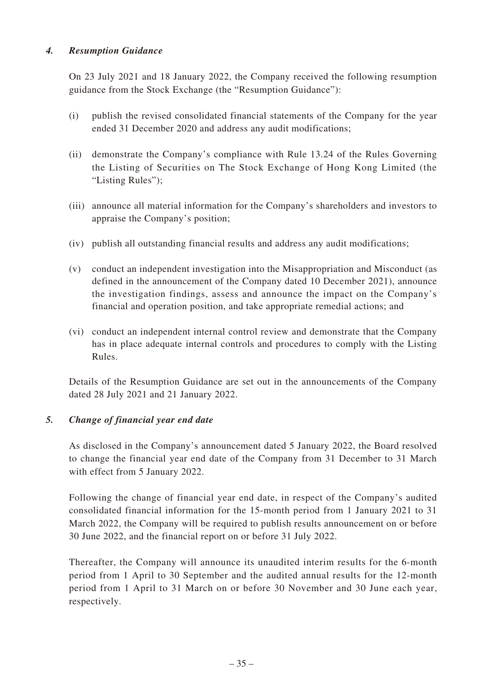## *4. Resumption Guidance*

On 23 July 2021 and 18 January 2022, the Company received the following resumption guidance from the Stock Exchange (the "Resumption Guidance"):

- (i) publish the revised consolidated financial statements of the Company for the year ended 31 December 2020 and address any audit modifications;
- (ii) demonstrate the Company's compliance with Rule 13.24 of the Rules Governing the Listing of Securities on The Stock Exchange of Hong Kong Limited (the "Listing Rules");
- (iii) announce all material information for the Company's shareholders and investors to appraise the Company's position;
- (iv) publish all outstanding financial results and address any audit modifications;
- (v) conduct an independent investigation into the Misappropriation and Misconduct (as defined in the announcement of the Company dated 10 December 2021), announce the investigation findings, assess and announce the impact on the Company's financial and operation position, and take appropriate remedial actions; and
- (vi) conduct an independent internal control review and demonstrate that the Company has in place adequate internal controls and procedures to comply with the Listing Rules.

Details of the Resumption Guidance are set out in the announcements of the Company dated 28 July 2021 and 21 January 2022.

## *5. Change of financial year end date*

As disclosed in the Company's announcement dated 5 January 2022, the Board resolved to change the financial year end date of the Company from 31 December to 31 March with effect from 5 January 2022.

Following the change of financial year end date, in respect of the Company's audited consolidated financial information for the 15-month period from 1 January 2021 to 31 March 2022, the Company will be required to publish results announcement on or before 30 June 2022, and the financial report on or before 31 July 2022.

Thereafter, the Company will announce its unaudited interim results for the 6-month period from 1 April to 30 September and the audited annual results for the 12-month period from 1 April to 31 March on or before 30 November and 30 June each year, respectively.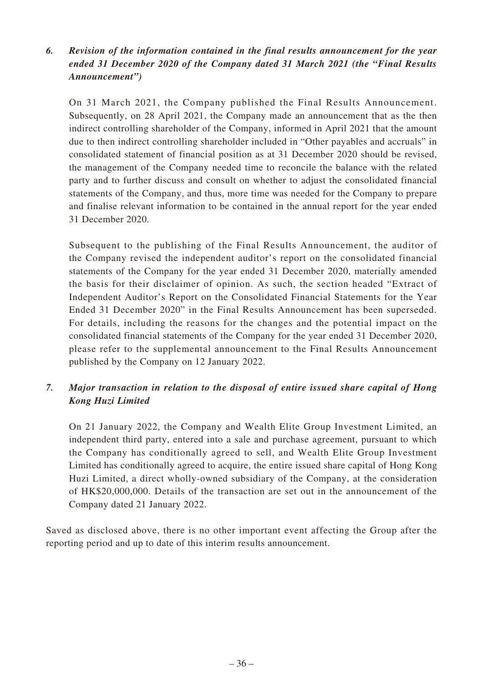# *6. Revision of the information contained in the final results announcement for the year ended 31 December 2020 of the Company dated 31 March 2021 (the "Final Results Announcement")*

On 31 March 2021, the Company published the Final Results Announcement. Subsequently, on 28 April 2021, the Company made an announcement that as the then indirect controlling shareholder of the Company, informed in April 2021 that the amount due to then indirect controlling shareholder included in "Other payables and accruals" in consolidated statement of financial position as at 31 December 2020 should be revised, the management of the Company needed time to reconcile the balance with the related party and to further discuss and consult on whether to adjust the consolidated financial statements of the Company, and thus, more time was needed for the Company to prepare and finalise relevant information to be contained in the annual report for the year ended 31 December 2020.

Subsequent to the publishing of the Final Results Announcement, the auditor of the Company revised the independent auditor's report on the consolidated financial statements of the Company for the year ended 31 December 2020, materially amended the basis for their disclaimer of opinion. As such, the section headed "Extract of Independent Auditor's Report on the Consolidated Financial Statements for the Year Ended 31 December 2020" in the Final Results Announcement has been superseded. For details, including the reasons for the changes and the potential impact on the consolidated financial statements of the Company for the year ended 31 December 2020, please refer to the supplemental announcement to the Final Results Announcement published by the Company on 12 January 2022.

# *7. Major transaction in relation to the disposal of entire issued share capital of Hong Kong Huzi Limited*

On 21 January 2022, the Company and Wealth Elite Group Investment Limited, an independent third party, entered into a sale and purchase agreement, pursuant to which the Company has conditionally agreed to sell, and Wealth Elite Group Investment Limited has conditionally agreed to acquire, the entire issued share capital of Hong Kong Huzi Limited, a direct wholly-owned subsidiary of the Company, at the consideration of HK\$20,000,000. Details of the transaction are set out in the announcement of the Company dated 21 January 2022.

Saved as disclosed above, there is no other important event affecting the Group after the reporting period and up to date of this interim results announcement.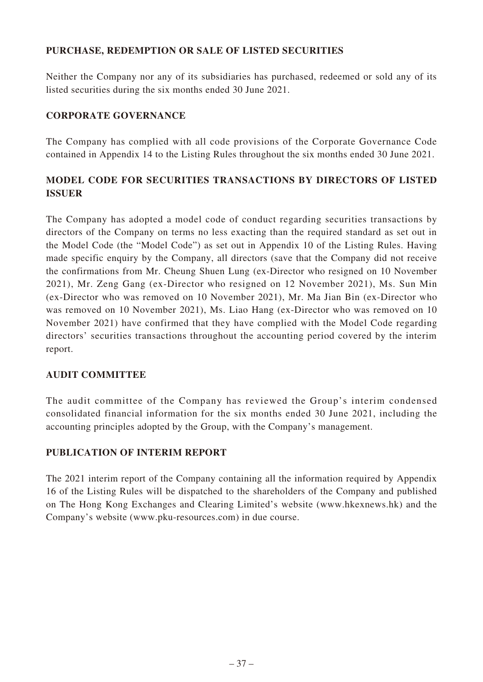# **PURCHASE, REDEMPTION OR SALE OF LISTED SECURITIES**

Neither the Company nor any of its subsidiaries has purchased, redeemed or sold any of its listed securities during the six months ended 30 June 2021.

# **CORPORATE GOVERNANCE**

The Company has complied with all code provisions of the Corporate Governance Code contained in Appendix 14 to the Listing Rules throughout the six months ended 30 June 2021.

# **MODEL CODE FOR SECURITIES TRANSACTIONS BY DIRECTORS OF LISTED ISSUER**

The Company has adopted a model code of conduct regarding securities transactions by directors of the Company on terms no less exacting than the required standard as set out in the Model Code (the "Model Code") as set out in Appendix 10 of the Listing Rules. Having made specific enquiry by the Company, all directors (save that the Company did not receive the confirmations from Mr. Cheung Shuen Lung (ex-Director who resigned on 10 November 2021), Mr. Zeng Gang (ex-Director who resigned on 12 November 2021), Ms. Sun Min (ex-Director who was removed on 10 November 2021), Mr. Ma Jian Bin (ex-Director who was removed on 10 November 2021), Ms. Liao Hang (ex-Director who was removed on 10 November 2021) have confirmed that they have complied with the Model Code regarding directors' securities transactions throughout the accounting period covered by the interim report.

# **AUDIT COMMITTEE**

The audit committee of the Company has reviewed the Group's interim condensed consolidated financial information for the six months ended 30 June 2021, including the accounting principles adopted by the Group, with the Company's management.

# **PUBLICATION OF INTERIM REPORT**

The 2021 interim report of the Company containing all the information required by Appendix 16 of the Listing Rules will be dispatched to the shareholders of the Company and published on The Hong Kong Exchanges and Clearing Limited's website (www.hkexnews.hk) and the Company's website (www.pku-resources.com) in due course.